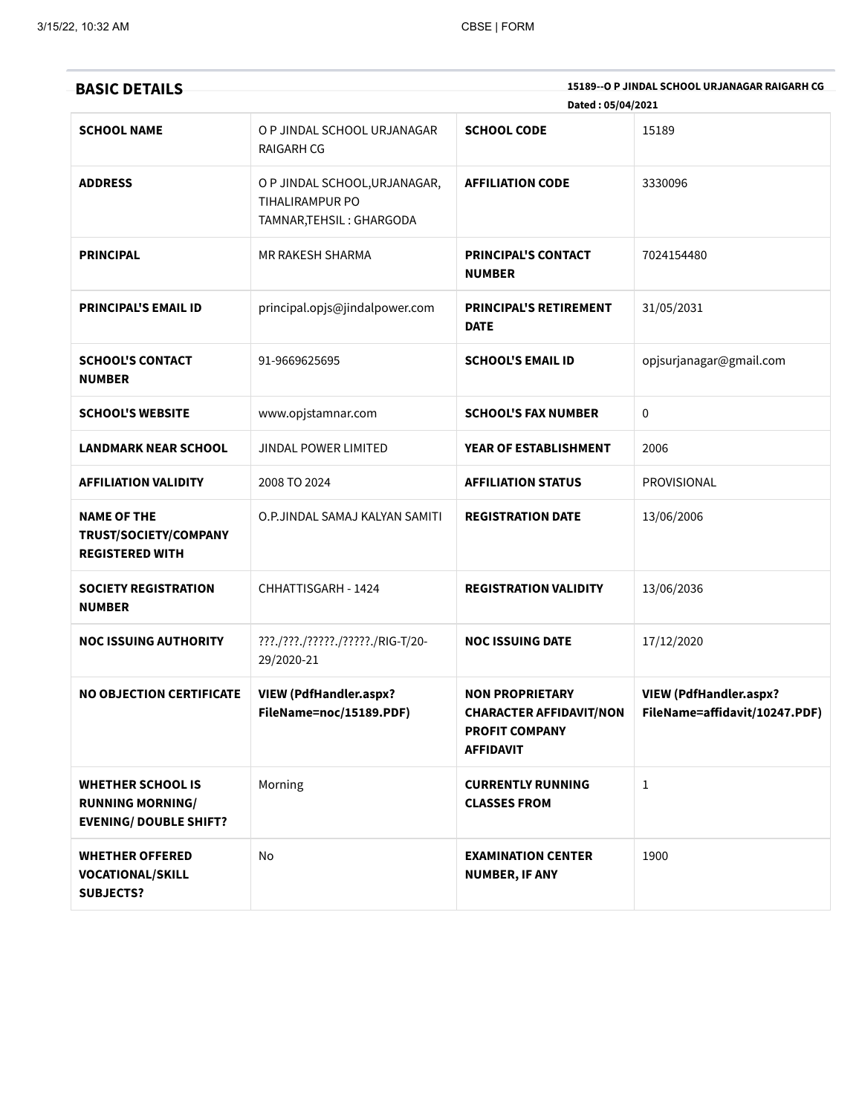| <b>BASIC DETAILS</b>                                                                 | 15189--O P JINDAL SCHOOL URJANAGAR RAIGARH CG<br>Dated: 05/04/2021           |                                                                                                       |                                                                |  |
|--------------------------------------------------------------------------------------|------------------------------------------------------------------------------|-------------------------------------------------------------------------------------------------------|----------------------------------------------------------------|--|
| <b>SCHOOL NAME</b>                                                                   | O P JINDAL SCHOOL URJANAGAR<br><b>RAIGARH CG</b>                             | <b>SCHOOL CODE</b>                                                                                    | 15189                                                          |  |
| <b>ADDRESS</b>                                                                       | O P JINDAL SCHOOL, URJANAGAR,<br>TIHALIRAMPUR PO<br>TAMNAR, TEHSIL: GHARGODA | <b>AFFILIATION CODE</b>                                                                               | 3330096                                                        |  |
| <b>PRINCIPAL</b>                                                                     | MR RAKESH SHARMA                                                             | <b>PRINCIPAL'S CONTACT</b><br><b>NUMBER</b>                                                           | 7024154480                                                     |  |
| <b>PRINCIPAL'S EMAIL ID</b>                                                          | principal.opjs@jindalpower.com                                               | <b>PRINCIPAL'S RETIREMENT</b><br><b>DATE</b>                                                          | 31/05/2031                                                     |  |
| <b>SCHOOL'S CONTACT</b><br><b>NUMBER</b>                                             | 91-9669625695                                                                | <b>SCHOOL'S EMAIL ID</b>                                                                              | opjsurjanagar@gmail.com                                        |  |
| <b>SCHOOL'S WEBSITE</b>                                                              | www.opjstamnar.com                                                           | <b>SCHOOL'S FAX NUMBER</b>                                                                            | 0                                                              |  |
| <b>LANDMARK NEAR SCHOOL</b>                                                          | <b>JINDAL POWER LIMITED</b>                                                  | YEAR OF ESTABLISHMENT                                                                                 | 2006                                                           |  |
| <b>AFFILIATION VALIDITY</b>                                                          | 2008 TO 2024                                                                 | <b>AFFILIATION STATUS</b>                                                                             | PROVISIONAL                                                    |  |
| <b>NAME OF THE</b><br>TRUST/SOCIETY/COMPANY<br><b>REGISTERED WITH</b>                | O.P.JINDAL SAMAJ KALYAN SAMITI                                               | <b>REGISTRATION DATE</b>                                                                              | 13/06/2006                                                     |  |
| <b>SOCIETY REGISTRATION</b><br><b>NUMBER</b>                                         | CHHATTISGARH - 1424                                                          | <b>REGISTRATION VALIDITY</b>                                                                          | 13/06/2036                                                     |  |
| <b>NOC ISSUING AUTHORITY</b>                                                         | ???./???./?????./?????./RIG-T/20-<br>29/2020-21                              | <b>NOC ISSUING DATE</b>                                                                               | 17/12/2020                                                     |  |
| <b>NO OBJECTION CERTIFICATE</b>                                                      | <b>VIEW (PdfHandler.aspx?</b><br>FileName=noc/15189.PDF)                     | <b>NON PROPRIETARY</b><br><b>CHARACTER AFFIDAVIT/NON</b><br><b>PROFIT COMPANY</b><br><b>AFFIDAVIT</b> | <b>VIEW (PdfHandler.aspx?</b><br>FileName=affidavit/10247.PDF) |  |
| <b>WHETHER SCHOOL IS</b><br><b>RUNNING MORNING/</b><br><b>EVENING/ DOUBLE SHIFT?</b> | Morning                                                                      | <b>CURRENTLY RUNNING</b><br><b>CLASSES FROM</b>                                                       | $\mathbf{1}$                                                   |  |
| <b>WHETHER OFFERED</b><br><b>VOCATIONAL/SKILL</b><br><b>SUBJECTS?</b>                | No                                                                           | <b>EXAMINATION CENTER</b><br><b>NUMBER, IF ANY</b>                                                    | 1900                                                           |  |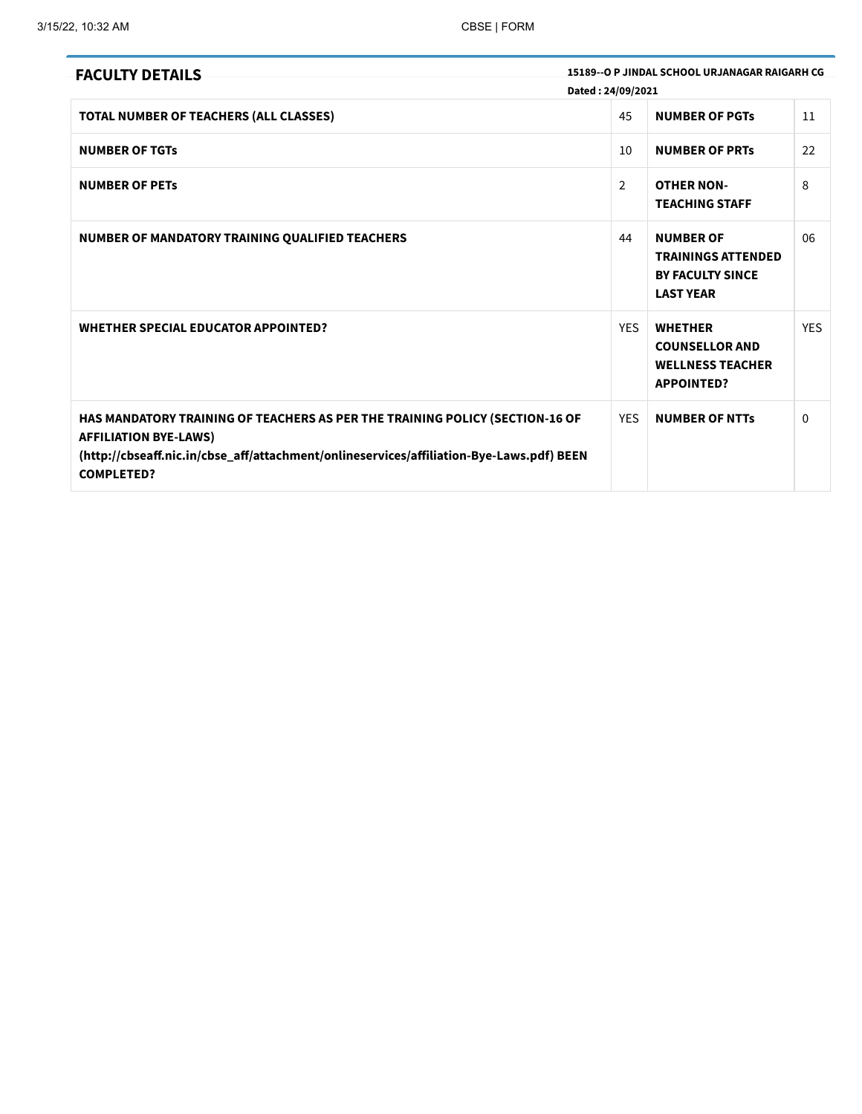| <b>FACULTY DETAILS</b>                                                                                                                                                                                                        | Dated: 24/09/2021 | 15189--O P JINDAL SCHOOL URJANAGAR RAIGARH CG                                                |              |
|-------------------------------------------------------------------------------------------------------------------------------------------------------------------------------------------------------------------------------|-------------------|----------------------------------------------------------------------------------------------|--------------|
| <b>TOTAL NUMBER OF TEACHERS (ALL CLASSES)</b>                                                                                                                                                                                 | 45                | <b>NUMBER OF PGTS</b>                                                                        | 11           |
| <b>NUMBER OF TGTs</b>                                                                                                                                                                                                         | 10                | <b>NUMBER OF PRTS</b>                                                                        | 22           |
| <b>NUMBER OF PETS</b>                                                                                                                                                                                                         | $\overline{2}$    | <b>OTHER NON-</b><br><b>TEACHING STAFF</b>                                                   | 8            |
| NUMBER OF MANDATORY TRAINING QUALIFIED TEACHERS                                                                                                                                                                               | 44                | <b>NUMBER OF</b><br><b>TRAININGS ATTENDED</b><br><b>BY FACULTY SINCE</b><br><b>LAST YEAR</b> | 06           |
| <b>WHETHER SPECIAL EDUCATOR APPOINTED?</b>                                                                                                                                                                                    | <b>YES</b>        | <b>WHETHER</b><br><b>COUNSELLOR AND</b><br><b>WELLNESS TEACHER</b><br><b>APPOINTED?</b>      | <b>YES</b>   |
| HAS MANDATORY TRAINING OF TEACHERS AS PER THE TRAINING POLICY (SECTION-16 OF<br><b>AFFILIATION BYE-LAWS)</b><br>(http://cbseaff.nic.in/cbse_aff/attachment/onlineservices/affiliation-Bye-Laws.pdf) BEEN<br><b>COMPLETED?</b> | YES.              | <b>NUMBER OF NTTs</b>                                                                        | $\mathbf{0}$ |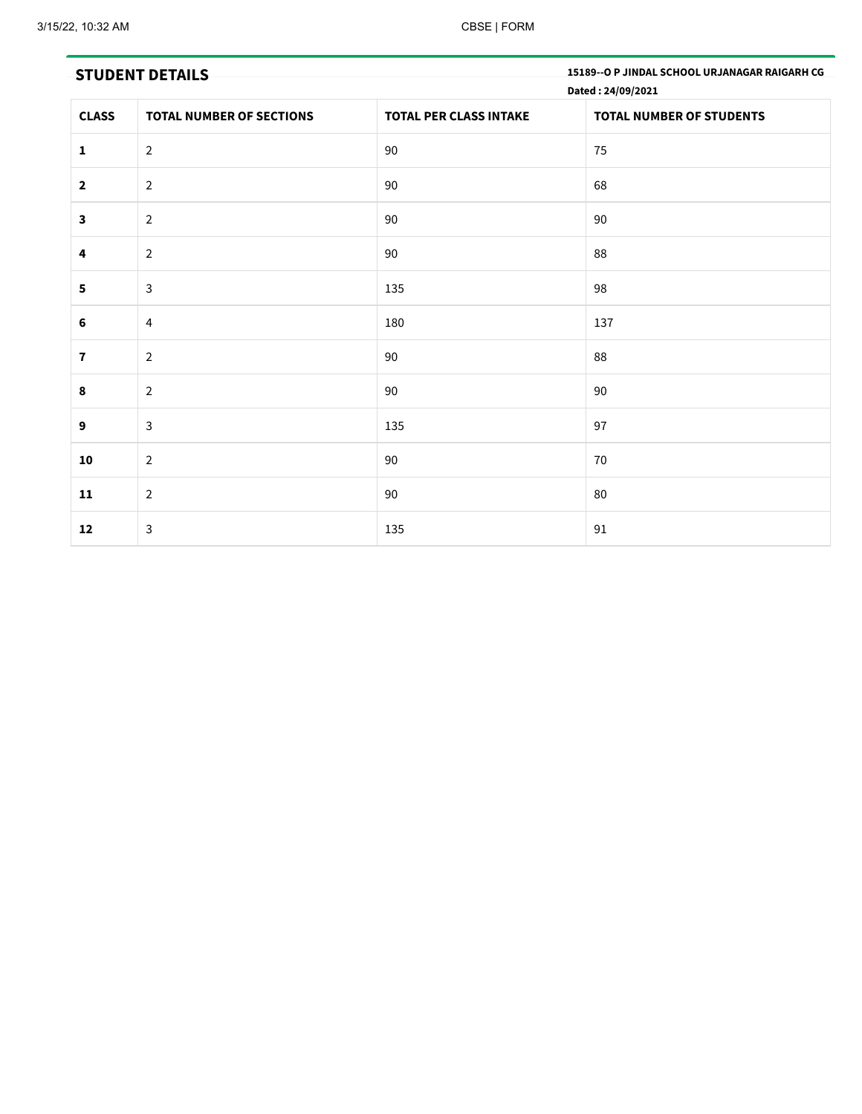| <b>STUDENT DETAILS</b><br>Dated: 24/09/2021 |                          |                               | 15189--O P JINDAL SCHOOL URJANAGAR RAIGARH CG |
|---------------------------------------------|--------------------------|-------------------------------|-----------------------------------------------|
| <b>CLASS</b>                                | TOTAL NUMBER OF SECTIONS | <b>TOTAL PER CLASS INTAKE</b> | TOTAL NUMBER OF STUDENTS                      |
| $\mathbf{1}$                                | $\overline{2}$           | 90                            | 75                                            |
| $\overline{\mathbf{2}}$                     | $\overline{2}$           | 90                            | 68                                            |
| $\mathbf{3}$                                | $\overline{2}$           | 90                            | 90                                            |
| 4                                           | $\overline{2}$           | 90                            | 88                                            |
| ${\bf 5}$                                   | $\mathbf{3}$             | 135                           | 98                                            |
| 6                                           | $\overline{4}$           | 180                           | 137                                           |
| $\mathbf{7}$                                | $\overline{2}$           | 90                            | 88                                            |
| 8                                           | $\overline{2}$           | 90                            | 90                                            |
| 9                                           | $\overline{3}$           | 135                           | 97                                            |
| 10                                          | $\overline{2}$           | 90                            | 70                                            |
| 11                                          | $\overline{2}$           | 90                            | 80                                            |
| 12                                          | $\mathsf{3}$             | 135                           | 91                                            |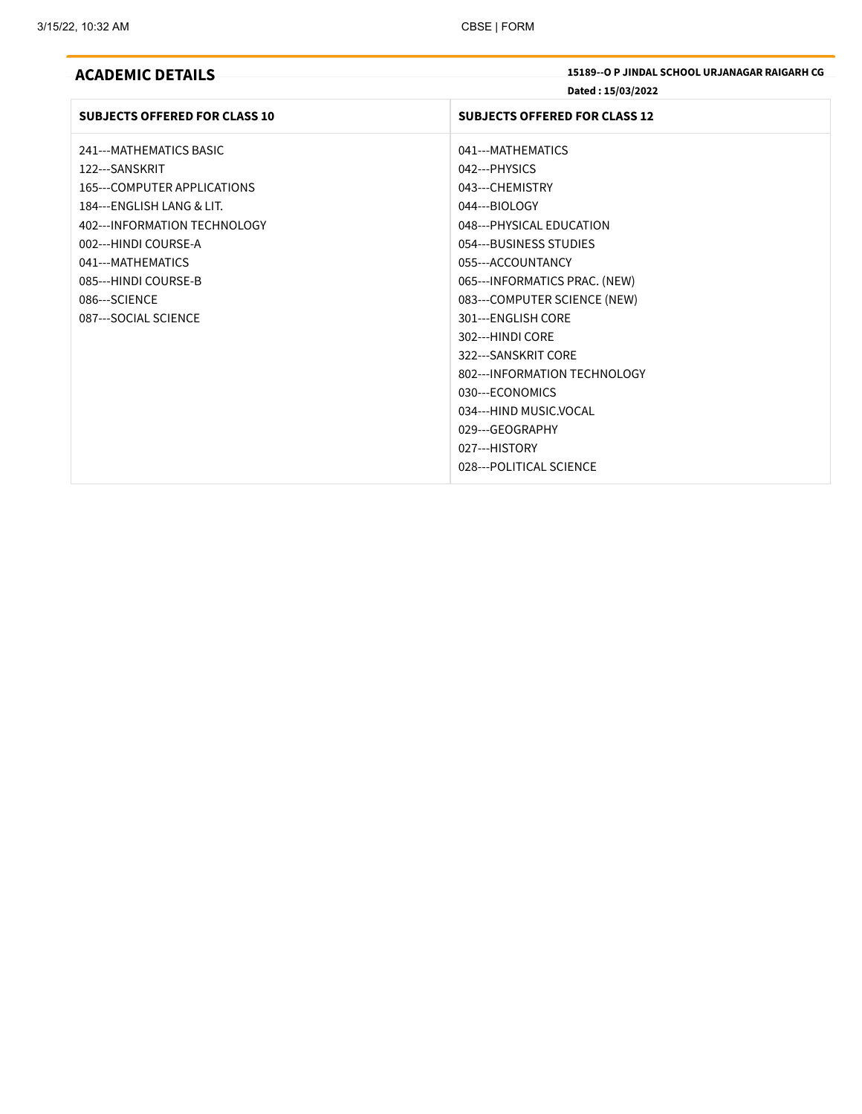| <b>ACADEMIC DETAILS</b> | 15189--O P JINDAL SCHOOL URJANAGAR RAIGARH CG |
|-------------------------|-----------------------------------------------|
|                         | Dated: 15/03/2022                             |

| <b>SUBJECTS OFFERED FOR CLASS 10</b> | <b>SUBJECTS OFFERED FOR CLASS 12</b> |
|--------------------------------------|--------------------------------------|
| 241--- MATHEMATICS BASIC             | 041---MATHEMATICS                    |
| 122---SANSKRIT                       | 042---PHYSICS                        |
| 165---COMPUTER APPLICATIONS          | 043---CHEMISTRY                      |
| 184---ENGLISH LANG & LIT.            | 044---BIOLOGY                        |
| 402--- INFORMATION TECHNOLOGY        | 048--- PHYSICAL EDUCATION            |
| 002---HINDI COURSE-A                 | 054---BUSINESS STUDIES               |
| 041---MATHEMATICS                    | 055---ACCOUNTANCY                    |
| 085---HINDI COURSE-B                 | 065---INFORMATICS PRAC. (NEW)        |
| 086---SCIENCE                        | 083---COMPUTER SCIENCE (NEW)         |
| 087---SOCIAL SCIENCE                 | 301---ENGLISH CORE                   |
|                                      | 302---HINDI CORE                     |
|                                      | 322---SANSKRIT CORE                  |
|                                      | 802--- INFORMATION TECHNOLOGY        |
|                                      | 030---ECONOMICS                      |
|                                      | 034---HIND MUSIC.VOCAL               |
|                                      | 029---GEOGRAPHY                      |
|                                      | 027---HISTORY                        |
|                                      | 028---POLITICAL SCIENCE              |
|                                      |                                      |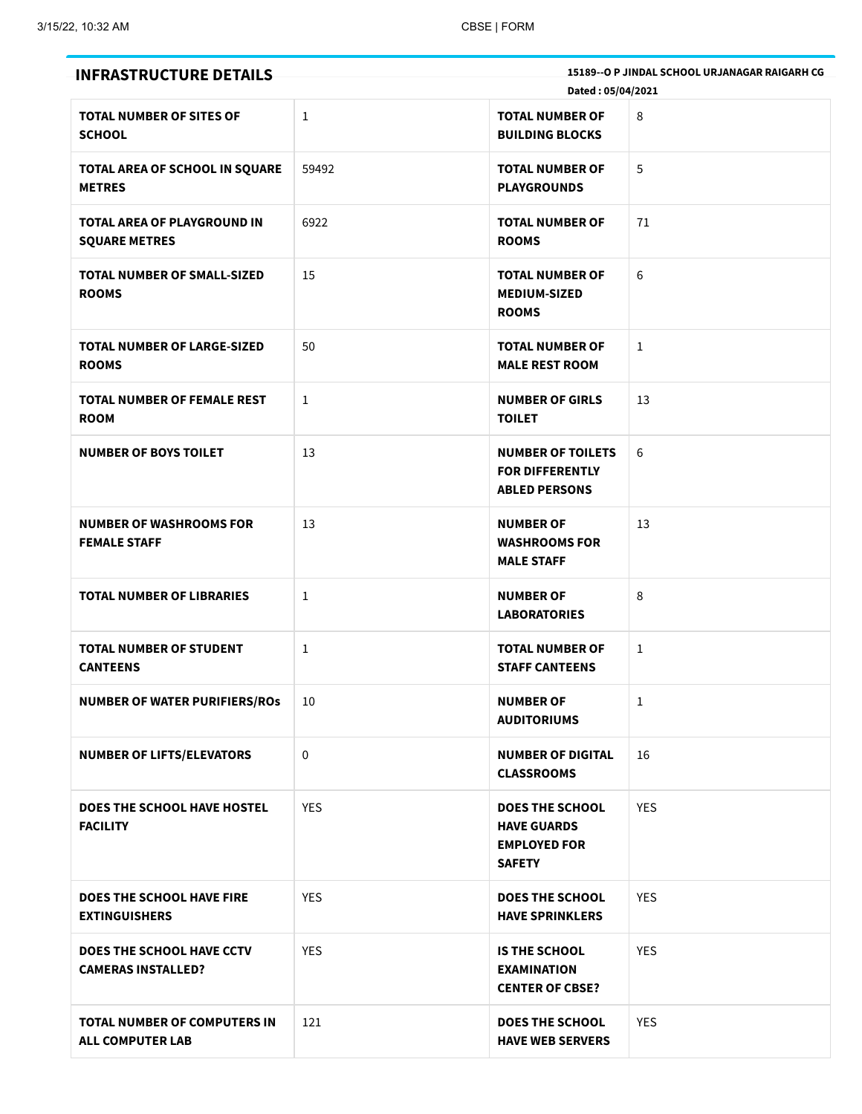| <b>INFRASTRUCTURE DETAILS</b>                           |              | Dated: 05/04/2021                                                                    | 15189--O P JINDAL SCHOOL URJANAGAR RAIGARH CG |
|---------------------------------------------------------|--------------|--------------------------------------------------------------------------------------|-----------------------------------------------|
| <b>TOTAL NUMBER OF SITES OF</b><br><b>SCHOOL</b>        | $\mathbf{1}$ | <b>TOTAL NUMBER OF</b><br><b>BUILDING BLOCKS</b>                                     | 8                                             |
| <b>TOTAL AREA OF SCHOOL IN SQUARE</b><br><b>METRES</b>  | 59492        | <b>TOTAL NUMBER OF</b><br><b>PLAYGROUNDS</b>                                         | 5                                             |
| TOTAL AREA OF PLAYGROUND IN<br><b>SQUARE METRES</b>     | 6922         | <b>TOTAL NUMBER OF</b><br><b>ROOMS</b>                                               | 71                                            |
| <b>TOTAL NUMBER OF SMALL-SIZED</b><br><b>ROOMS</b>      | 15           | <b>TOTAL NUMBER OF</b><br><b>MEDIUM-SIZED</b><br><b>ROOMS</b>                        | 6                                             |
| <b>TOTAL NUMBER OF LARGE-SIZED</b><br><b>ROOMS</b>      | 50           | <b>TOTAL NUMBER OF</b><br><b>MALE REST ROOM</b>                                      | $\mathbf{1}$                                  |
| <b>TOTAL NUMBER OF FEMALE REST</b><br><b>ROOM</b>       | $\mathbf{1}$ | <b>NUMBER OF GIRLS</b><br><b>TOILET</b>                                              | 13                                            |
| <b>NUMBER OF BOYS TOILET</b>                            | 13           | <b>NUMBER OF TOILETS</b><br><b>FOR DIFFERENTLY</b><br><b>ABLED PERSONS</b>           | 6                                             |
| <b>NUMBER OF WASHROOMS FOR</b><br><b>FEMALE STAFF</b>   | 13           | <b>NUMBER OF</b><br><b>WASHROOMS FOR</b><br><b>MALE STAFF</b>                        | 13                                            |
| <b>TOTAL NUMBER OF LIBRARIES</b>                        | $\mathbf{1}$ | <b>NUMBER OF</b><br><b>LABORATORIES</b>                                              | 8                                             |
| <b>TOTAL NUMBER OF STUDENT</b><br><b>CANTEENS</b>       | $\mathbf{1}$ | <b>TOTAL NUMBER OF</b><br><b>STAFF CANTEENS</b>                                      | $\mathbf{1}$                                  |
| <b>NUMBER OF WATER PURIFIERS/ROS</b>                    | 10           | <b>NUMBER OF</b><br><b>AUDITORIUMS</b>                                               | $\mathbf{1}$                                  |
| <b>NUMBER OF LIFTS/ELEVATORS</b>                        | 0            | <b>NUMBER OF DIGITAL</b><br><b>CLASSROOMS</b>                                        | 16                                            |
| <b>DOES THE SCHOOL HAVE HOSTEL</b><br><b>FACILITY</b>   | <b>YES</b>   | <b>DOES THE SCHOOL</b><br><b>HAVE GUARDS</b><br><b>EMPLOYED FOR</b><br><b>SAFETY</b> | <b>YES</b>                                    |
| DOES THE SCHOOL HAVE FIRE<br><b>EXTINGUISHERS</b>       | <b>YES</b>   | <b>DOES THE SCHOOL</b><br><b>HAVE SPRINKLERS</b>                                     | <b>YES</b>                                    |
| DOES THE SCHOOL HAVE CCTV<br><b>CAMERAS INSTALLED?</b>  | <b>YES</b>   | <b>IS THE SCHOOL</b><br><b>EXAMINATION</b><br><b>CENTER OF CBSE?</b>                 | <b>YES</b>                                    |
| TOTAL NUMBER OF COMPUTERS IN<br><b>ALL COMPUTER LAB</b> | 121          | <b>DOES THE SCHOOL</b><br><b>HAVE WEB SERVERS</b>                                    | <b>YES</b>                                    |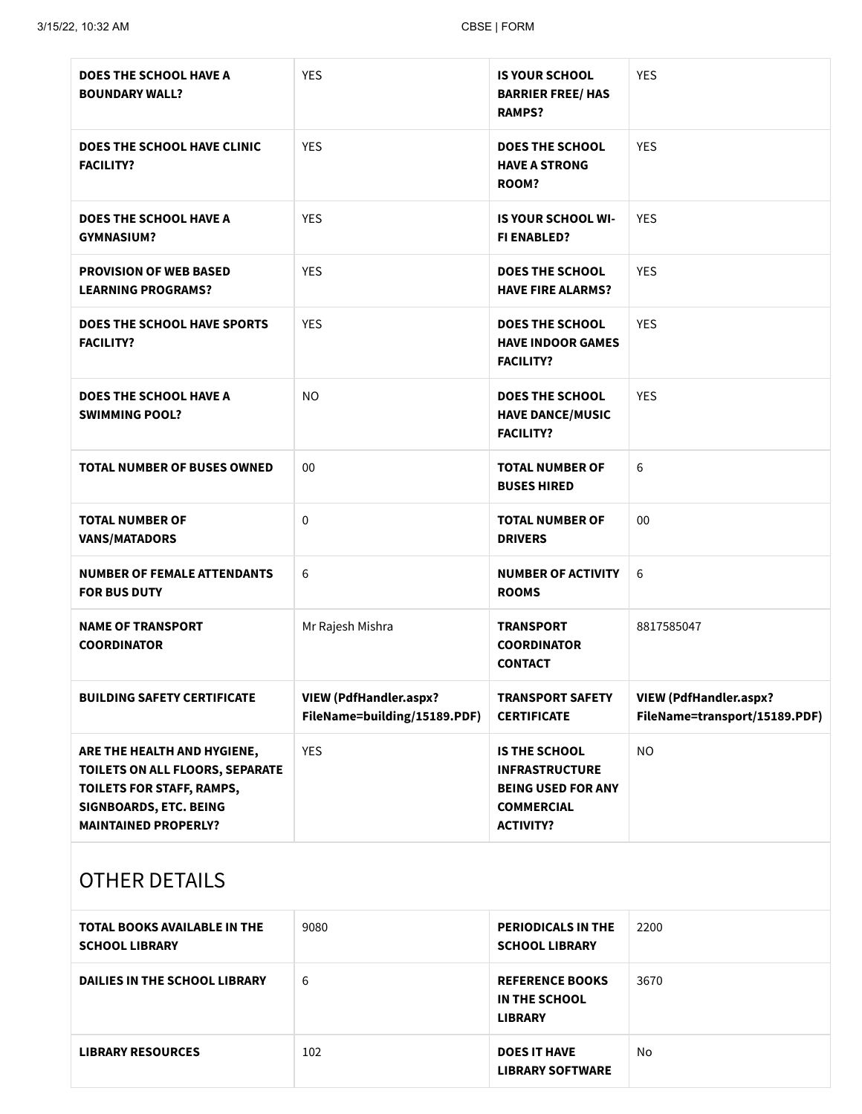| <b>DOES THE SCHOOL HAVE A</b><br><b>BOUNDARY WALL?</b>                                                                                               | <b>YES</b>                                                    | <b>IS YOUR SCHOOL</b><br><b>BARRIER FREE/ HAS</b><br><b>RAMPS?</b>                                           | <b>YES</b>                                                     |
|------------------------------------------------------------------------------------------------------------------------------------------------------|---------------------------------------------------------------|--------------------------------------------------------------------------------------------------------------|----------------------------------------------------------------|
| DOES THE SCHOOL HAVE CLINIC<br><b>FACILITY?</b>                                                                                                      | <b>YES</b>                                                    | <b>DOES THE SCHOOL</b><br><b>HAVE A STRONG</b><br><b>ROOM?</b>                                               | <b>YES</b>                                                     |
| <b>DOES THE SCHOOL HAVE A</b><br><b>GYMNASIUM?</b>                                                                                                   | <b>YES</b>                                                    | <b>IS YOUR SCHOOL WI-</b><br><b>FI ENABLED?</b>                                                              | <b>YES</b>                                                     |
| <b>PROVISION OF WEB BASED</b><br><b>LEARNING PROGRAMS?</b>                                                                                           | <b>YES</b>                                                    | <b>DOES THE SCHOOL</b><br><b>HAVE FIRE ALARMS?</b>                                                           | <b>YES</b>                                                     |
| <b>DOES THE SCHOOL HAVE SPORTS</b><br><b>FACILITY?</b>                                                                                               | <b>YES</b>                                                    | <b>DOES THE SCHOOL</b><br><b>HAVE INDOOR GAMES</b><br><b>FACILITY?</b>                                       | <b>YES</b>                                                     |
| DOES THE SCHOOL HAVE A<br><b>SWIMMING POOL?</b>                                                                                                      | N <sub>O</sub>                                                | <b>DOES THE SCHOOL</b><br><b>HAVE DANCE/MUSIC</b><br><b>FACILITY?</b>                                        | <b>YES</b>                                                     |
| <b>TOTAL NUMBER OF BUSES OWNED</b>                                                                                                                   | $00\,$                                                        | <b>TOTAL NUMBER OF</b><br><b>BUSES HIRED</b>                                                                 | 6                                                              |
| <b>TOTAL NUMBER OF</b><br><b>VANS/MATADORS</b>                                                                                                       | $\mathbf 0$                                                   | <b>TOTAL NUMBER OF</b><br><b>DRIVERS</b>                                                                     | $00\,$                                                         |
| <b>NUMBER OF FEMALE ATTENDANTS</b><br><b>FOR BUS DUTY</b>                                                                                            | 6                                                             | <b>NUMBER OF ACTIVITY</b><br><b>ROOMS</b>                                                                    | 6                                                              |
| <b>NAME OF TRANSPORT</b><br><b>COORDINATOR</b>                                                                                                       | Mr Rajesh Mishra                                              | <b>TRANSPORT</b><br><b>COORDINATOR</b><br><b>CONTACT</b>                                                     | 8817585047                                                     |
| <b>BUILDING SAFETY CERTIFICATE</b>                                                                                                                   | <b>VIEW (PdfHandler.aspx?</b><br>FileName=building/15189.PDF) | <b>TRANSPORT SAFETY</b><br><b>CERTIFICATE</b>                                                                | <b>VIEW (PdfHandler.aspx?</b><br>FileName=transport/15189.PDF) |
| ARE THE HEALTH AND HYGIENE,<br>TOILETS ON ALL FLOORS, SEPARATE<br>TOILETS FOR STAFF, RAMPS,<br>SIGNBOARDS, ETC. BEING<br><b>MAINTAINED PROPERLY?</b> | <b>YES</b>                                                    | IS THE SCHOOL<br><b>INFRASTRUCTURE</b><br><b>BEING USED FOR ANY</b><br><b>COMMERCIAL</b><br><b>ACTIVITY?</b> | <b>NO</b>                                                      |

# OTHER DETAILS

| <b>TOTAL BOOKS AVAILABLE IN THE</b><br><b>SCHOOL LIBRARY</b> | 9080 | <b>PERIODICALS IN THE</b><br><b>SCHOOL LIBRARY</b>        | 2200 |
|--------------------------------------------------------------|------|-----------------------------------------------------------|------|
| <b>DAILIES IN THE SCHOOL LIBRARY</b>                         | 6    | <b>REFERENCE BOOKS</b><br>IN THE SCHOOL<br><b>LIBRARY</b> | 3670 |
| <b>LIBRARY RESOURCES</b>                                     | 102  | <b>DOES IT HAVE</b><br><b>LIBRARY SOFTWARE</b>            | No   |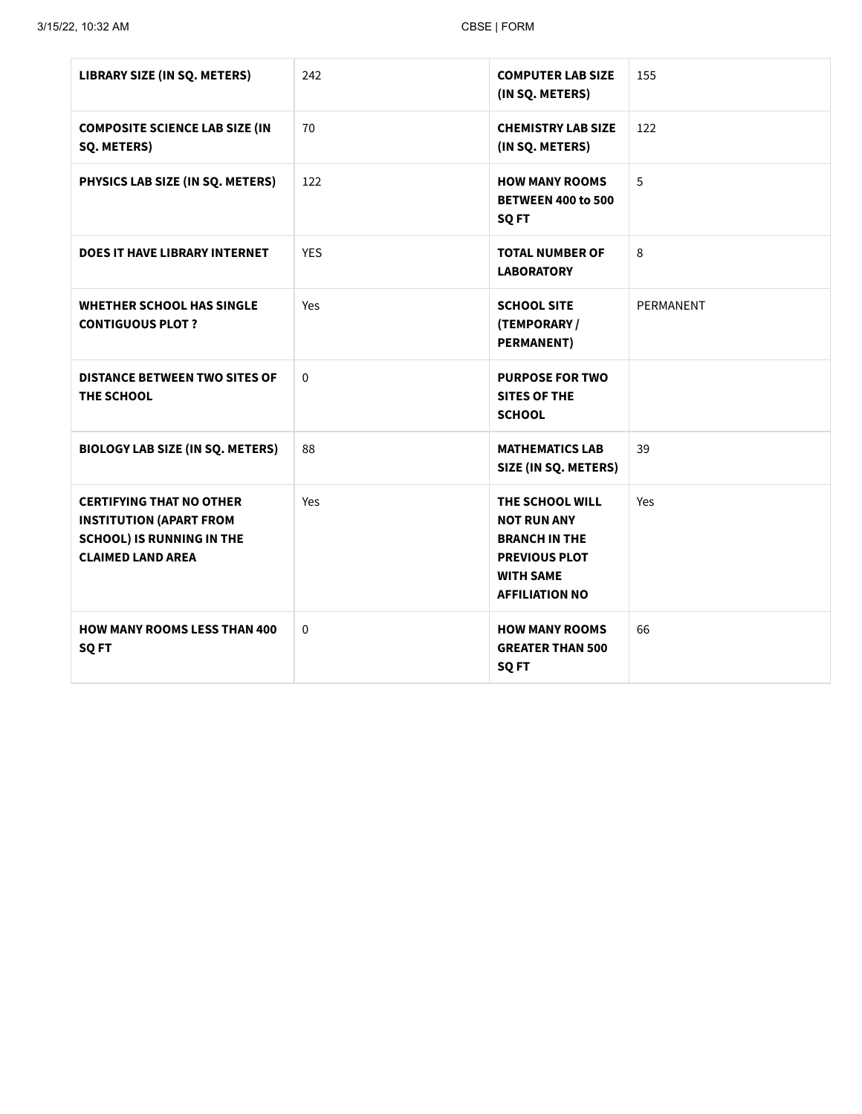| <b>LIBRARY SIZE (IN SQ. METERS)</b>                                                                                               | 242          | <b>COMPUTER LAB SIZE</b><br>(IN SQ. METERS)                                                                                        | 155            |
|-----------------------------------------------------------------------------------------------------------------------------------|--------------|------------------------------------------------------------------------------------------------------------------------------------|----------------|
| <b>COMPOSITE SCIENCE LAB SIZE (IN</b><br><b>SQ. METERS)</b>                                                                       | 70           | <b>CHEMISTRY LAB SIZE</b><br>(IN SQ. METERS)                                                                                       | 122            |
| PHYSICS LAB SIZE (IN SQ. METERS)                                                                                                  | 122          | <b>HOW MANY ROOMS</b><br><b>BETWEEN 400 to 500</b><br>SQ FT                                                                        | $\overline{5}$ |
| <b>DOES IT HAVE LIBRARY INTERNET</b>                                                                                              | <b>YES</b>   | <b>TOTAL NUMBER OF</b><br><b>LABORATORY</b>                                                                                        | 8              |
| <b>WHETHER SCHOOL HAS SINGLE</b><br><b>CONTIGUOUS PLOT ?</b>                                                                      | Yes          | <b>SCHOOL SITE</b><br>(TEMPORARY /<br><b>PERMANENT)</b>                                                                            | PERMANENT      |
| <b>DISTANCE BETWEEN TWO SITES OF</b><br>THE SCHOOL                                                                                | $\mathbf{0}$ | <b>PURPOSE FOR TWO</b><br><b>SITES OF THE</b><br><b>SCHOOL</b>                                                                     |                |
| <b>BIOLOGY LAB SIZE (IN SQ. METERS)</b>                                                                                           | 88           | <b>MATHEMATICS LAB</b><br>SIZE (IN SQ. METERS)                                                                                     | 39             |
| <b>CERTIFYING THAT NO OTHER</b><br><b>INSTITUTION (APART FROM</b><br><b>SCHOOL) IS RUNNING IN THE</b><br><b>CLAIMED LAND AREA</b> | <b>Yes</b>   | THE SCHOOL WILL<br><b>NOT RUN ANY</b><br><b>BRANCH IN THE</b><br><b>PREVIOUS PLOT</b><br><b>WITH SAME</b><br><b>AFFILIATION NO</b> | Yes            |
| <b>HOW MANY ROOMS LESS THAN 400</b><br><b>SQFT</b>                                                                                | $\Omega$     | <b>HOW MANY ROOMS</b><br><b>GREATER THAN 500</b><br><b>SQFT</b>                                                                    | 66             |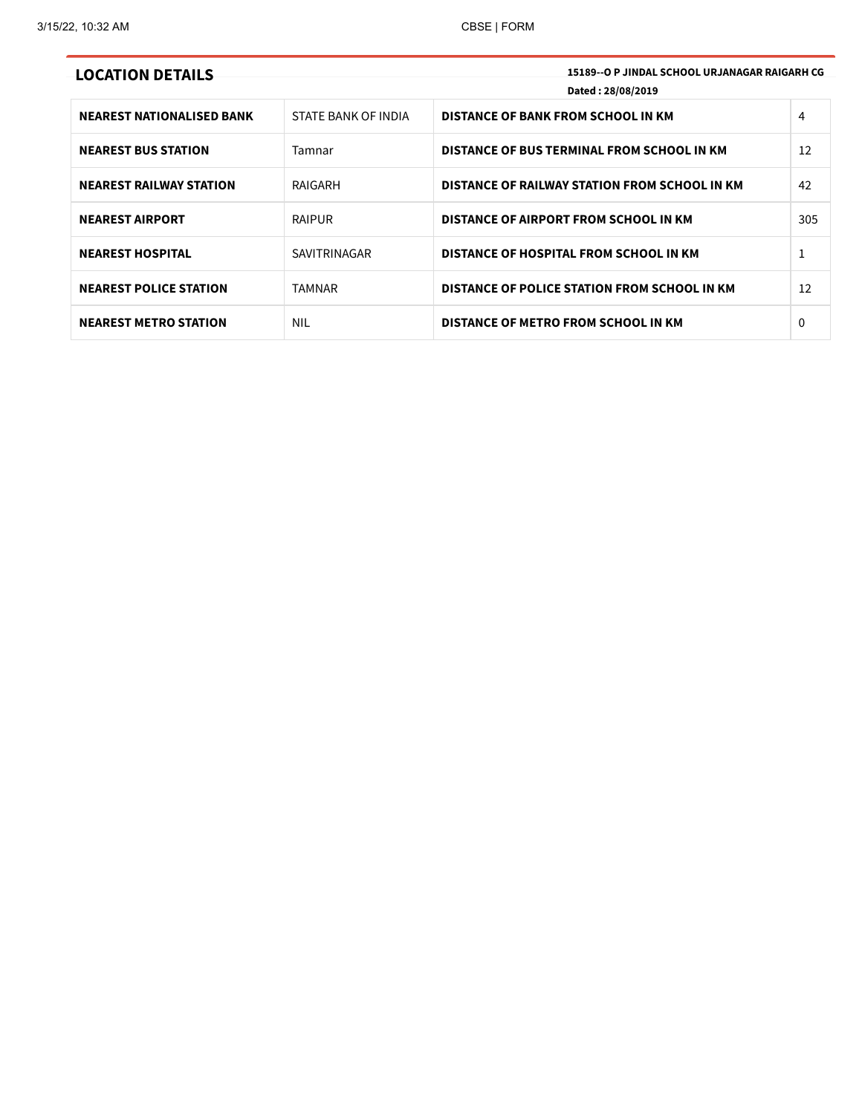| <b>LOCATION DETAILS</b>          |                     | 15189--O P JINDAL SCHOOL URJANAGAR RAIGARH CG<br>Dated: 28/08/2019 |     |
|----------------------------------|---------------------|--------------------------------------------------------------------|-----|
| <b>NEAREST NATIONALISED BANK</b> | STATE BANK OF INDIA | DISTANCE OF BANK FROM SCHOOL IN KM                                 | 4   |
| <b>NEAREST BUS STATION</b>       | Tamnar              | DISTANCE OF BUS TERMINAL FROM SCHOOL IN KM                         | 12  |
| <b>NEAREST RAILWAY STATION</b>   | RAIGARH             | <b>DISTANCE OF RAILWAY STATION FROM SCHOOL IN KM</b>               | 42  |
| <b>NEAREST AIRPORT</b>           | <b>RAIPUR</b>       | DISTANCE OF AIRPORT FROM SCHOOL IN KM                              | 305 |
| <b>NEAREST HOSPITAL</b>          | SAVITRINAGAR        | DISTANCE OF HOSPITAL FROM SCHOOL IN KM                             | 1   |
| <b>NEAREST POLICE STATION</b>    | <b>TAMNAR</b>       | DISTANCE OF POLICE STATION FROM SCHOOL IN KM                       | 12  |
| <b>NEAREST METRO STATION</b>     | <b>NIL</b>          | DISTANCE OF METRO FROM SCHOOL IN KM                                | 0   |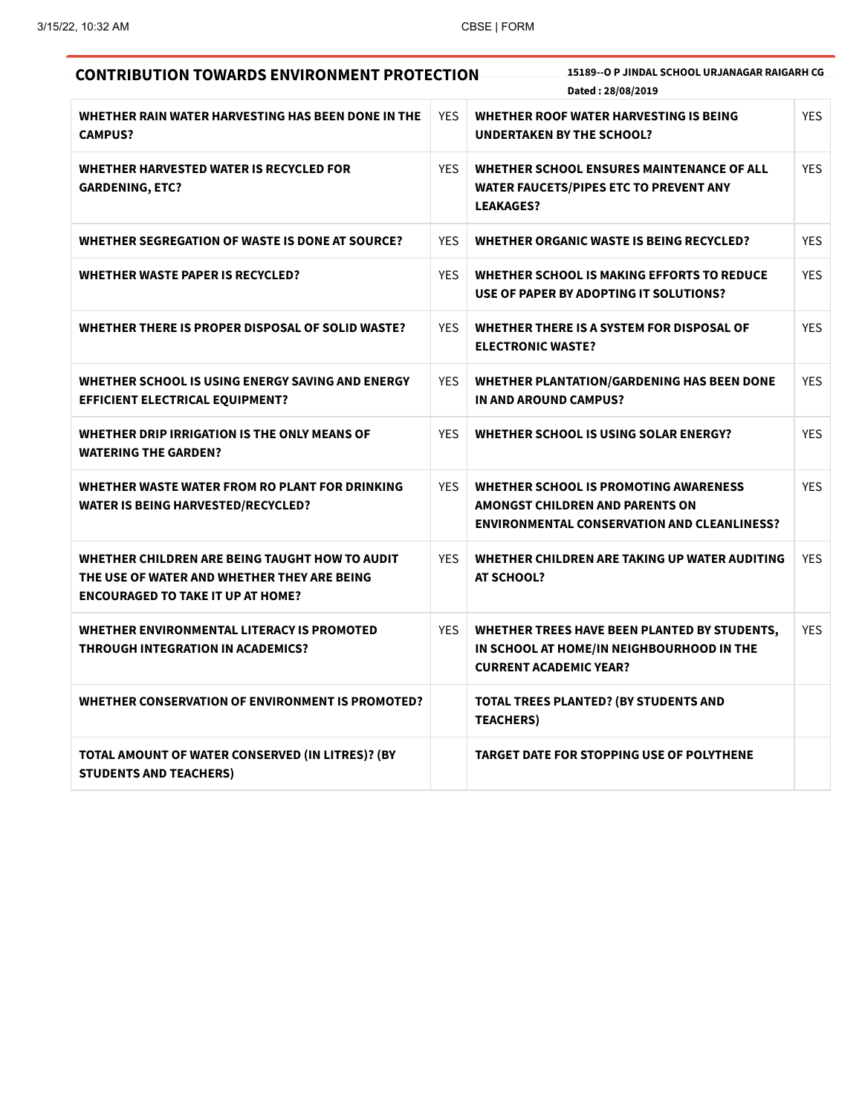| <b>CONTRIBUTION TOWARDS ENVIRONMENT PROTECTION</b>                                                                                        |            | 15189--O P JINDAL SCHOOL URJANAGAR RAIGARH CG<br>Dated: 28/08/2019                                                             |            |  |
|-------------------------------------------------------------------------------------------------------------------------------------------|------------|--------------------------------------------------------------------------------------------------------------------------------|------------|--|
| WHETHER RAIN WATER HARVESTING HAS BEEN DONE IN THE<br><b>CAMPUS?</b>                                                                      | <b>YES</b> | WHETHER ROOF WATER HARVESTING IS BEING<br><b>UNDERTAKEN BY THE SCHOOL?</b>                                                     | <b>YES</b> |  |
| WHETHER HARVESTED WATER IS RECYCLED FOR<br>GARDENING, ETC?                                                                                | <b>YES</b> | WHETHER SCHOOL ENSURES MAINTENANCE OF ALL<br><b>WATER FAUCETS/PIPES ETC TO PREVENT ANY</b><br><b>LEAKAGES?</b>                 | <b>YES</b> |  |
| WHETHER SEGREGATION OF WASTE IS DONE AT SOURCE?                                                                                           | <b>YES</b> | WHETHER ORGANIC WASTE IS BEING RECYCLED?                                                                                       | <b>YES</b> |  |
| WHETHER WASTE PAPER IS RECYCLED?                                                                                                          | <b>YES</b> | WHETHER SCHOOL IS MAKING EFFORTS TO REDUCE<br>USE OF PAPER BY ADOPTING IT SOLUTIONS?                                           | <b>YES</b> |  |
| WHETHER THERE IS PROPER DISPOSAL OF SOLID WASTE?                                                                                          | <b>YES</b> | WHETHER THERE IS A SYSTEM FOR DISPOSAL OF<br><b>ELECTRONIC WASTE?</b>                                                          | <b>YES</b> |  |
| WHETHER SCHOOL IS USING ENERGY SAVING AND ENERGY<br><b>EFFICIENT ELECTRICAL EQUIPMENT?</b>                                                | <b>YES</b> | WHETHER PLANTATION/GARDENING HAS BEEN DONE<br>IN AND AROUND CAMPUS?                                                            | <b>YES</b> |  |
| WHETHER DRIP IRRIGATION IS THE ONLY MEANS OF<br><b>WATERING THE GARDEN?</b>                                                               | <b>YES</b> | WHETHER SCHOOL IS USING SOLAR ENERGY?                                                                                          | <b>YES</b> |  |
| WHETHER WASTE WATER FROM RO PLANT FOR DRINKING<br><b>WATER IS BEING HARVESTED/RECYCLED?</b>                                               | <b>YES</b> | WHETHER SCHOOL IS PROMOTING AWARENESS<br>AMONGST CHILDREN AND PARENTS ON<br><b>ENVIRONMENTAL CONSERVATION AND CLEANLINESS?</b> | <b>YES</b> |  |
| WHETHER CHILDREN ARE BEING TAUGHT HOW TO AUDIT<br>THE USE OF WATER AND WHETHER THEY ARE BEING<br><b>ENCOURAGED TO TAKE IT UP AT HOME?</b> | <b>YES</b> | WHETHER CHILDREN ARE TAKING UP WATER AUDITING<br>AT SCHOOL?                                                                    | <b>YES</b> |  |
| WHETHER ENVIRONMENTAL LITERACY IS PROMOTED<br><b>THROUGH INTEGRATION IN ACADEMICS?</b>                                                    | <b>YES</b> | WHETHER TREES HAVE BEEN PLANTED BY STUDENTS,<br>IN SCHOOL AT HOME/IN NEIGHBOURHOOD IN THE<br><b>CURRENT ACADEMIC YEAR?</b>     | <b>YES</b> |  |
| WHETHER CONSERVATION OF ENVIRONMENT IS PROMOTED?                                                                                          |            | TOTAL TREES PLANTED? (BY STUDENTS AND<br><b>TEACHERS</b> )                                                                     |            |  |
| TOTAL AMOUNT OF WATER CONSERVED (IN LITRES)? (BY<br><b>STUDENTS AND TEACHERS)</b>                                                         |            | <b>TARGET DATE FOR STOPPING USE OF POLYTHENE</b>                                                                               |            |  |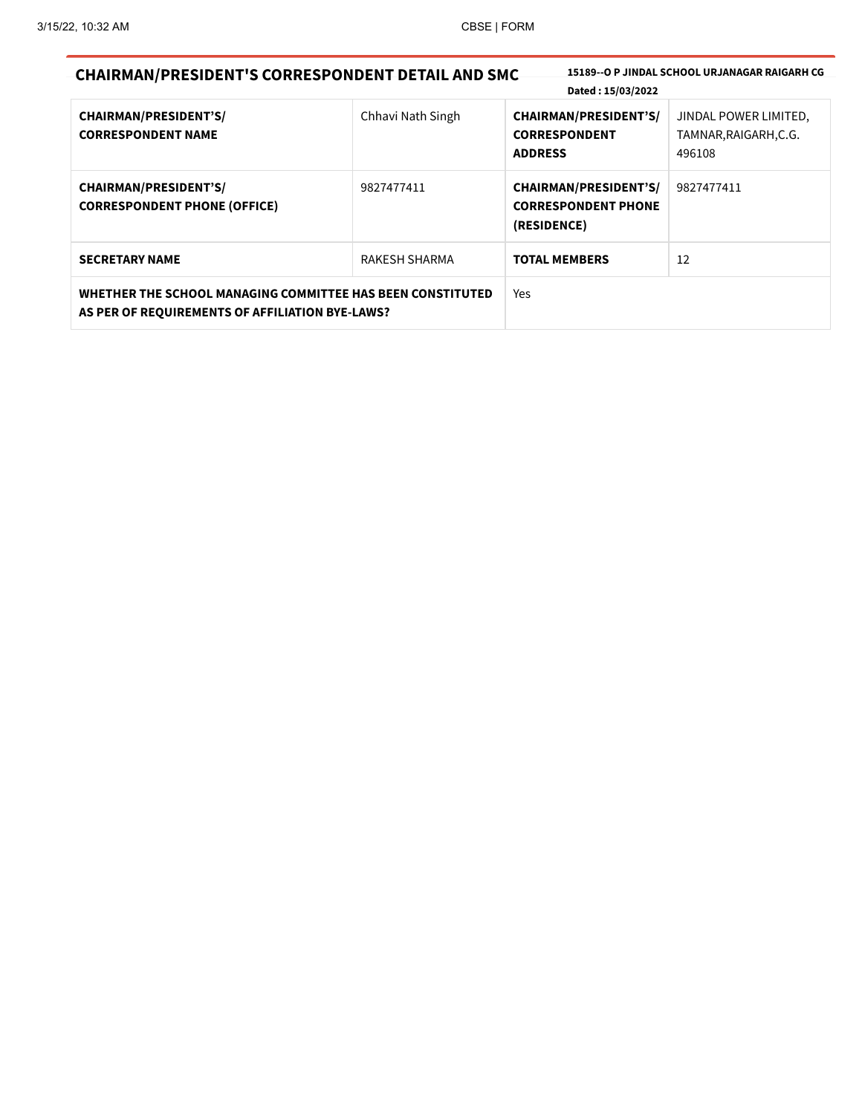| 15189--O P JINDAL SCHOOL URJANAGAR RAIGARH CG<br><b>CHAIRMAN/PRESIDENT'S CORRESPONDENT DETAIL AND SMC</b>     |                   |                                                                           |                                                          |
|---------------------------------------------------------------------------------------------------------------|-------------------|---------------------------------------------------------------------------|----------------------------------------------------------|
|                                                                                                               |                   | Dated: 15/03/2022                                                         |                                                          |
| <b>CHAIRMAN/PRESIDENT'S/</b><br><b>CORRESPONDENT NAME</b>                                                     | Chhavi Nath Singh | <b>CHAIRMAN/PRESIDENT'S/</b><br><b>CORRESPONDENT</b><br><b>ADDRESS</b>    | JINDAL POWER LIMITED,<br>TAMNAR, RAIGARH, C.G.<br>496108 |
| <b>CHAIRMAN/PRESIDENT'S/</b><br><b>CORRESPONDENT PHONE (OFFICE)</b>                                           | 9827477411        | <b>CHAIRMAN/PRESIDENT'S/</b><br><b>CORRESPONDENT PHONE</b><br>(RESIDENCE) | 9827477411                                               |
| <b>SECRETARY NAME</b>                                                                                         | RAKESH SHARMA     | <b>TOTAL MEMBERS</b>                                                      | 12                                                       |
| WHETHER THE SCHOOL MANAGING COMMITTEE HAS BEEN CONSTITUTED<br>AS PER OF REQUIREMENTS OF AFFILIATION BYE-LAWS? |                   | Yes                                                                       |                                                          |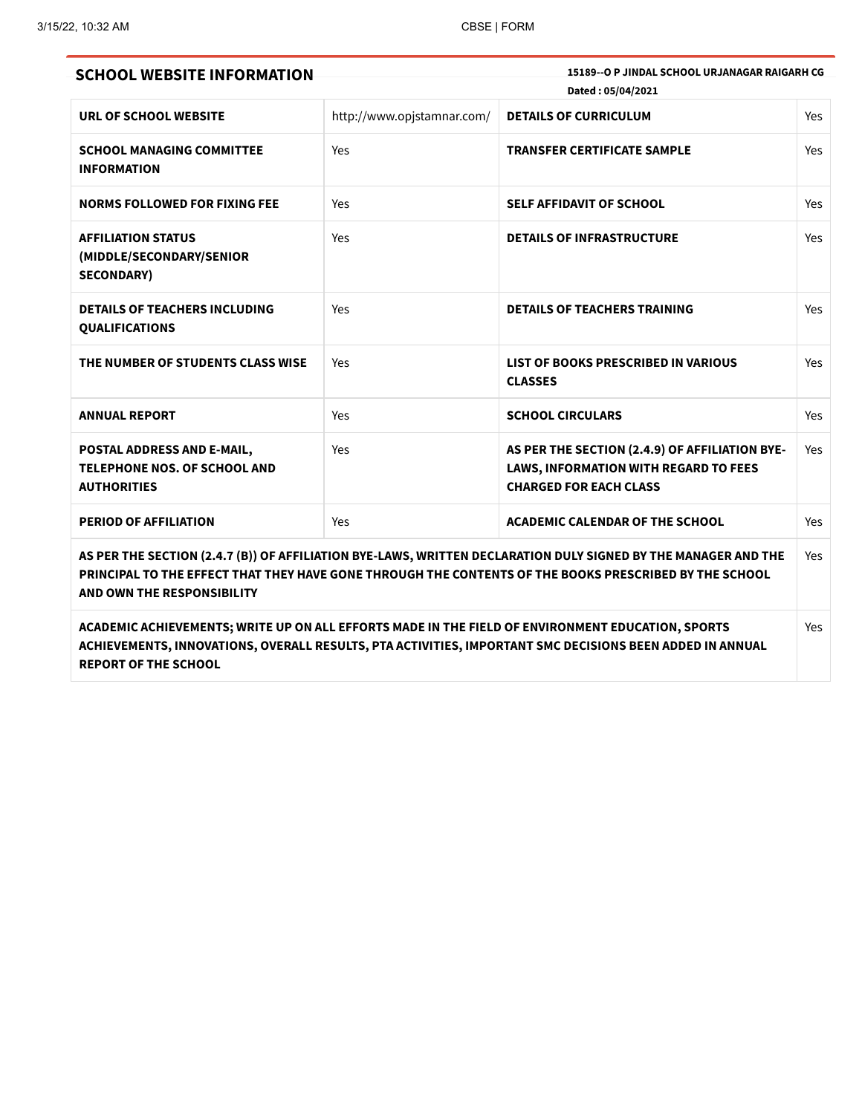| <b>SCHOOL WEBSITE INFORMATION</b>                                                                 | 15189--O P JINDAL SCHOOL URJANAGAR RAIGARH CG<br>Dated: 05/04/2021 |                                                                                                                                                                                                                          |            |
|---------------------------------------------------------------------------------------------------|--------------------------------------------------------------------|--------------------------------------------------------------------------------------------------------------------------------------------------------------------------------------------------------------------------|------------|
| URL OF SCHOOL WEBSITE                                                                             | http://www.opjstamnar.com/                                         | <b>DETAILS OF CURRICULUM</b>                                                                                                                                                                                             | Yes        |
| <b>SCHOOL MANAGING COMMITTEE</b><br><b>INFORMATION</b>                                            | Yes                                                                | <b>TRANSFER CERTIFICATE SAMPLE</b>                                                                                                                                                                                       | Yes        |
| <b>NORMS FOLLOWED FOR FIXING FEE</b>                                                              | Yes                                                                | <b>SELF AFFIDAVIT OF SCHOOL</b>                                                                                                                                                                                          | Yes        |
| <b>AFFILIATION STATUS</b><br>(MIDDLE/SECONDARY/SENIOR<br><b>SECONDARY)</b>                        | Yes                                                                | <b>DETAILS OF INFRASTRUCTURE</b>                                                                                                                                                                                         | Yes        |
| <b>DETAILS OF TEACHERS INCLUDING</b><br><b>QUALIFICATIONS</b>                                     | Yes                                                                | <b>DETAILS OF TEACHERS TRAINING</b>                                                                                                                                                                                      | Yes        |
| THE NUMBER OF STUDENTS CLASS WISE                                                                 | Yes                                                                | <b>LIST OF BOOKS PRESCRIBED IN VARIOUS</b><br><b>CLASSES</b>                                                                                                                                                             | Yes        |
| <b>ANNUAL REPORT</b>                                                                              | Yes                                                                | <b>SCHOOL CIRCULARS</b>                                                                                                                                                                                                  | Yes        |
| POSTAL ADDRESS AND E-MAIL,<br><b>TELEPHONE NOS. OF SCHOOL AND</b><br><b>AUTHORITIES</b>           | Yes                                                                | AS PER THE SECTION (2.4.9) OF AFFILIATION BYE-<br>LAWS, INFORMATION WITH REGARD TO FEES<br><b>CHARGED FOR EACH CLASS</b>                                                                                                 | <b>Yes</b> |
| <b>PERIOD OF AFFILIATION</b>                                                                      | Yes                                                                | <b>ACADEMIC CALENDAR OF THE SCHOOL</b>                                                                                                                                                                                   | Yes        |
| AND OWN THE RESPONSIBILITY                                                                        |                                                                    | AS PER THE SECTION (2.4.7 (B)) OF AFFILIATION BYE-LAWS, WRITTEN DECLARATION DULY SIGNED BY THE MANAGER AND THE<br>PRINCIPAL TO THE EFFECT THAT THEY HAVE GONE THROUGH THE CONTENTS OF THE BOOKS PRESCRIBED BY THE SCHOOL | Yes        |
| ACADEMIC ACHIEVEMENTS; WRITE UP ON ALL EFFORTS MADE IN THE FIELD OF ENVIRONMENT EDUCATION, SPORTS |                                                                    |                                                                                                                                                                                                                          | Yes        |

ACHIEVEMENTS, INNOVATIONS, OVERALL RESULTS, PTA ACTIVITIES, IMPORTANT SMC DECISIONS BEEN ADDED IN ANNUAL REPORT OF THE SCHOOL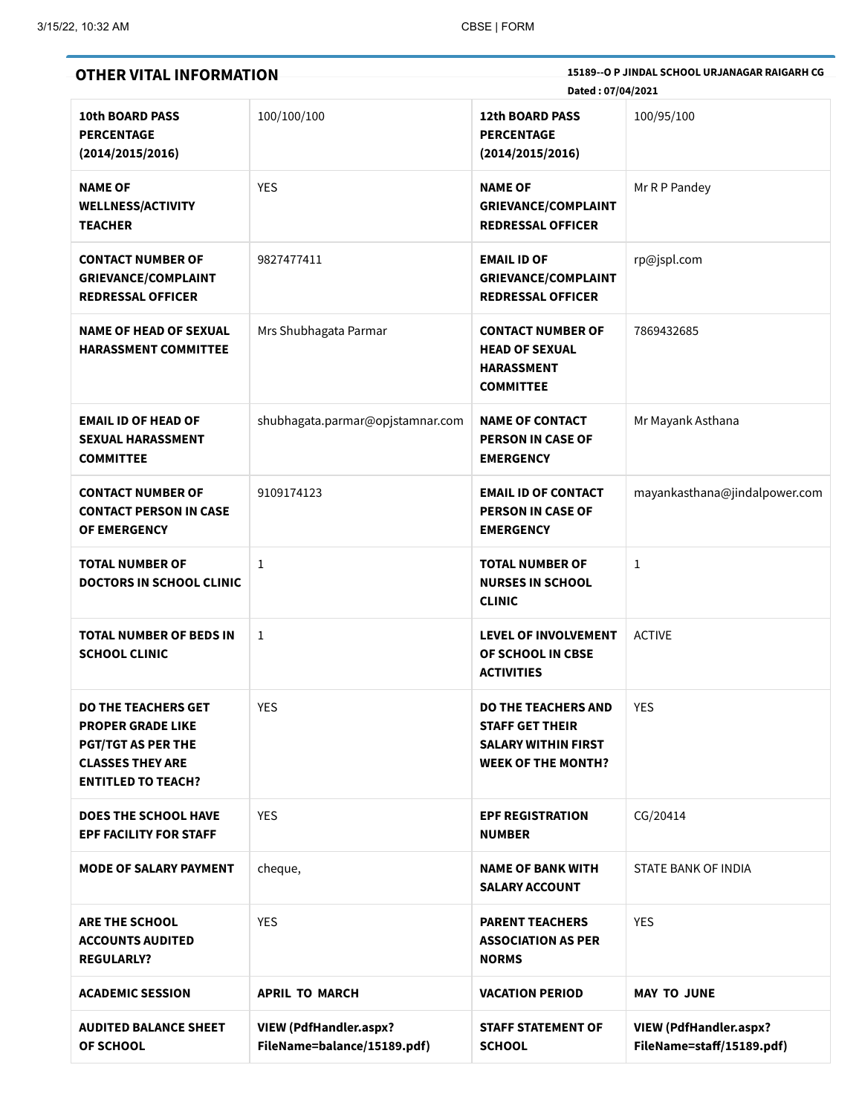| <b>OTHER VITAL INFORMATION</b>                                                                                                              |                                                              | 15189--O P JINDAL SCHOOL URJANAGAR RAIGARH CG<br>Dated: 07/04/2021                                              |                                                            |  |  |
|---------------------------------------------------------------------------------------------------------------------------------------------|--------------------------------------------------------------|-----------------------------------------------------------------------------------------------------------------|------------------------------------------------------------|--|--|
| <b>10th BOARD PASS</b><br><b>PERCENTAGE</b><br>(2014/2015/2016)                                                                             | 100/100/100                                                  | <b>12th BOARD PASS</b><br><b>PERCENTAGE</b><br>(2014/2015/2016)                                                 | 100/95/100                                                 |  |  |
| <b>NAME OF</b><br><b>WELLNESS/ACTIVITY</b><br><b>TEACHER</b>                                                                                | <b>YES</b>                                                   | <b>NAME OF</b><br><b>GRIEVANCE/COMPLAINT</b><br><b>REDRESSAL OFFICER</b>                                        | Mr R P Pandey                                              |  |  |
| <b>CONTACT NUMBER OF</b><br><b>GRIEVANCE/COMPLAINT</b><br><b>REDRESSAL OFFICER</b>                                                          | 9827477411                                                   | <b>EMAIL ID OF</b><br><b>GRIEVANCE/COMPLAINT</b><br><b>REDRESSAL OFFICER</b>                                    | rp@jspl.com                                                |  |  |
| <b>NAME OF HEAD OF SEXUAL</b><br><b>HARASSMENT COMMITTEE</b>                                                                                | Mrs Shubhagata Parmar                                        | <b>CONTACT NUMBER OF</b><br><b>HEAD OF SEXUAL</b><br><b>HARASSMENT</b><br><b>COMMITTEE</b>                      | 7869432685                                                 |  |  |
| <b>EMAIL ID OF HEAD OF</b><br><b>SEXUAL HARASSMENT</b><br><b>COMMITTEE</b>                                                                  | shubhagata.parmar@opjstamnar.com                             | <b>NAME OF CONTACT</b><br>PERSON IN CASE OF<br><b>EMERGENCY</b>                                                 | Mr Mayank Asthana                                          |  |  |
| <b>CONTACT NUMBER OF</b><br><b>CONTACT PERSON IN CASE</b><br>OF EMERGENCY                                                                   | 9109174123                                                   | <b>EMAIL ID OF CONTACT</b><br><b>PERSON IN CASE OF</b><br><b>EMERGENCY</b>                                      | mayankasthana@jindalpower.com                              |  |  |
| <b>TOTAL NUMBER OF</b><br><b>DOCTORS IN SCHOOL CLINIC</b>                                                                                   | $\mathbf{1}$                                                 | <b>TOTAL NUMBER OF</b><br><b>NURSES IN SCHOOL</b><br><b>CLINIC</b>                                              | $\mathbf{1}$                                               |  |  |
| <b>TOTAL NUMBER OF BEDS IN</b><br><b>SCHOOL CLINIC</b>                                                                                      | 1                                                            | <b>LEVEL OF INVOLVEMENT</b><br>OF SCHOOL IN CBSE<br><b>ACTIVITIES</b>                                           | <b>ACTIVE</b>                                              |  |  |
| <b>DO THE TEACHERS GET</b><br><b>PROPER GRADE LIKE</b><br><b>PGT/TGT AS PER THE</b><br><b>CLASSES THEY ARE</b><br><b>ENTITLED TO TEACH?</b> | <b>YES</b>                                                   | <b>DO THE TEACHERS AND</b><br><b>STAFF GET THEIR</b><br><b>SALARY WITHIN FIRST</b><br><b>WEEK OF THE MONTH?</b> | <b>YES</b>                                                 |  |  |
| <b>DOES THE SCHOOL HAVE</b><br><b>EPF FACILITY FOR STAFF</b>                                                                                | <b>YES</b>                                                   | <b>EPF REGISTRATION</b><br><b>NUMBER</b>                                                                        | CG/20414                                                   |  |  |
| <b>MODE OF SALARY PAYMENT</b>                                                                                                               | cheque,                                                      | <b>NAME OF BANK WITH</b><br><b>SALARY ACCOUNT</b>                                                               | STATE BANK OF INDIA                                        |  |  |
| <b>ARE THE SCHOOL</b><br><b>ACCOUNTS AUDITED</b><br><b>REGULARLY?</b>                                                                       | <b>YES</b>                                                   | <b>PARENT TEACHERS</b><br><b>ASSOCIATION AS PER</b><br><b>NORMS</b>                                             | <b>YES</b>                                                 |  |  |
| <b>ACADEMIC SESSION</b>                                                                                                                     | <b>APRIL TO MARCH</b>                                        | <b>VACATION PERIOD</b>                                                                                          | <b>MAY TO JUNE</b>                                         |  |  |
| <b>AUDITED BALANCE SHEET</b><br>OF SCHOOL                                                                                                   | <b>VIEW (PdfHandler.aspx?</b><br>FileName=balance/15189.pdf) | <b>STAFF STATEMENT OF</b><br><b>SCHOOL</b>                                                                      | <b>VIEW (PdfHandler.aspx?</b><br>FileName=staff/15189.pdf) |  |  |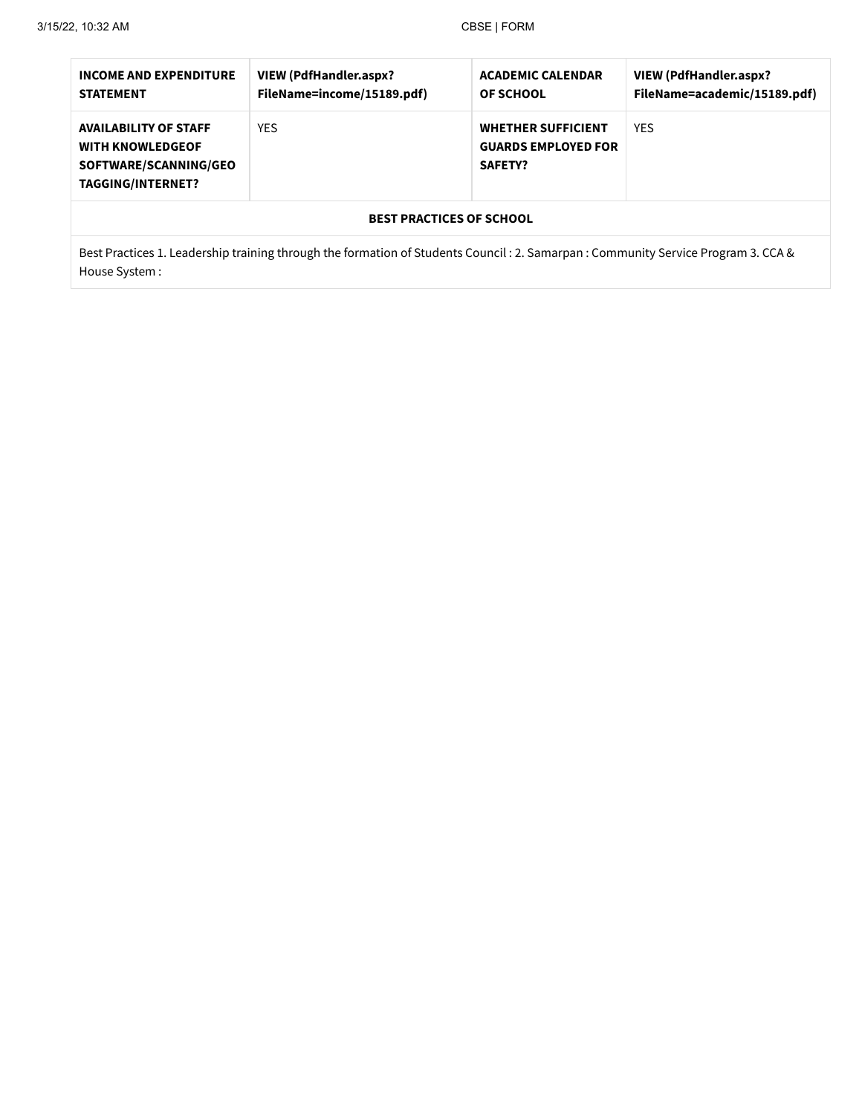| <b>INCOME AND EXPENDITURE</b><br><b>STATEMENT</b>                                                                          | VIEW (PdfHandler.aspx?<br>FileName=income/15189.pdf) | <b>ACADEMIC CALENDAR</b><br><b>OF SCHOOL</b>                              | <b>VIEW (PdfHandler.aspx?</b><br>FileName=academic/15189.pdf) |  |  |  |
|----------------------------------------------------------------------------------------------------------------------------|------------------------------------------------------|---------------------------------------------------------------------------|---------------------------------------------------------------|--|--|--|
| <b>YES</b><br><b>AVAILABILITY OF STAFF</b><br><b>WITH KNOWLEDGEOF</b><br>SOFTWARE/SCANNING/GEO<br><b>TAGGING/INTERNET?</b> |                                                      | <b>WHETHER SUFFICIENT</b><br><b>GUARDS EMPLOYED FOR</b><br><b>SAFETY?</b> | <b>YES</b>                                                    |  |  |  |
| <b>BEST PRACTICES OF SCHOOL</b>                                                                                            |                                                      |                                                                           |                                                               |  |  |  |

Best Practices 1. Leadership training through the formation of Students Council : 2. Samarpan : Community Service Program 3. CCA & House System :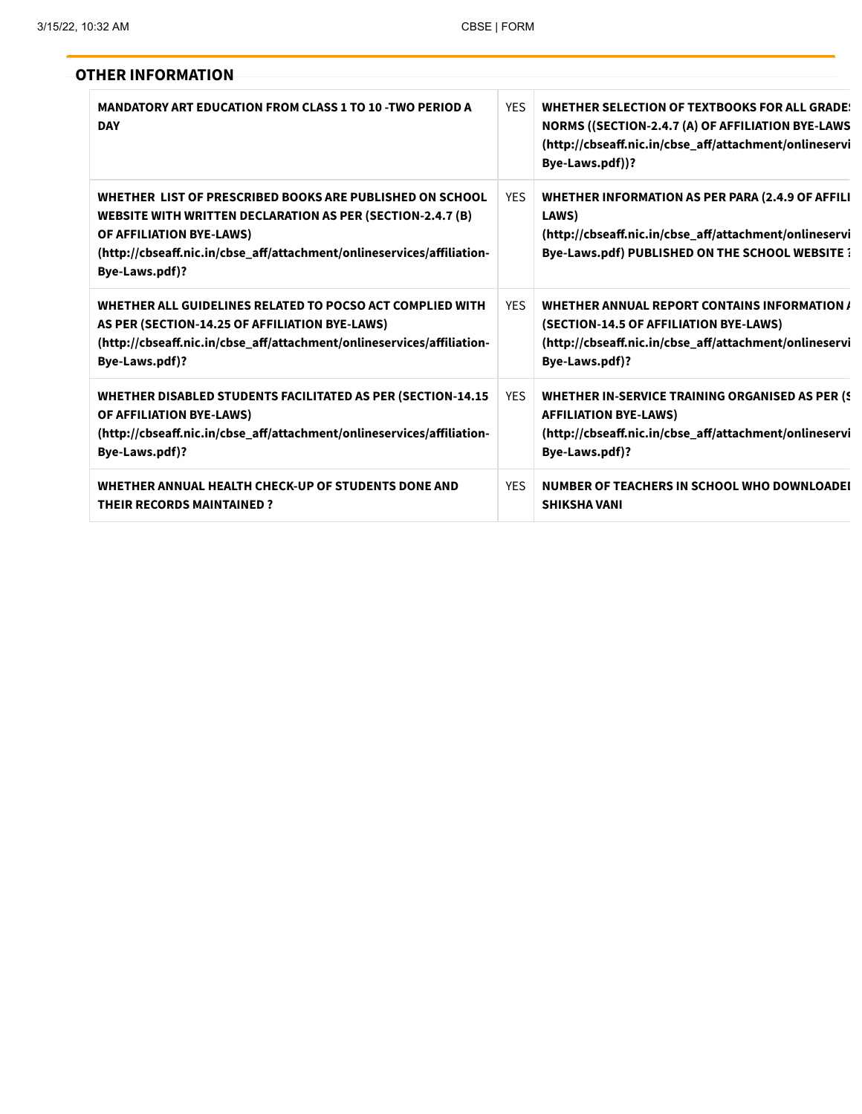| <b>OTHER INFORMATION</b>                                                                                                                                                                                                                       |            |                                                                                                                                                                                 |
|------------------------------------------------------------------------------------------------------------------------------------------------------------------------------------------------------------------------------------------------|------------|---------------------------------------------------------------------------------------------------------------------------------------------------------------------------------|
| <b>MANDATORY ART EDUCATION FROM CLASS 1 TO 10 -TWO PERIOD A</b><br><b>DAY</b>                                                                                                                                                                  | <b>YFS</b> | WHETHER SELECTION OF TEXTBOOKS FOR ALL GRADE:<br>NORMS ((SECTION-2.4.7 (A) OF AFFILIATION BYE-LAWS<br>(http://cbseaff.nic.in/cbse_aff/attachment/onlineservi<br>Bye-Laws.pdf))? |
| WHETHER LIST OF PRESCRIBED BOOKS ARE PUBLISHED ON SCHOOL<br>WEBSITE WITH WRITTEN DECLARATION AS PER (SECTION-2.4.7 (B)<br>OF AFFILIATION BYE-LAWS)<br>(http://cbseaff.nic.in/cbse_aff/attachment/onlineservices/affiliation-<br>Bye-Laws.pdf)? | <b>YES</b> | WHETHER INFORMATION AS PER PARA (2.4.9 OF AFFILI<br>LAWS)<br>(http://cbseaff.nic.in/cbse_aff/attachment/onlineservi<br>Bye-Laws.pdf) PUBLISHED ON THE SCHOOL WEBSITE:           |
| WHETHER ALL GUIDELINES RELATED TO POCSO ACT COMPLIED WITH<br>AS PER (SECTION-14.25 OF AFFILIATION BYE-LAWS)<br>(http://cbseaff.nic.in/cbse_aff/attachment/onlineservices/affiliation-<br>Bye-Laws.pdf)?                                        | <b>YES</b> | WHETHER ANNUAL REPORT CONTAINS INFORMATION /<br>(SECTION-14.5 OF AFFILIATION BYE-LAWS)<br>(http://cbseaff.nic.in/cbse_aff/attachment/onlineservi<br>Bye-Laws.pdf)?              |
| <b>WHETHER DISABLED STUDENTS FACILITATED AS PER (SECTION-14.15</b><br>OF AFFILIATION BYE-LAWS)<br>(http://cbseaff.nic.in/cbse_aff/attachment/onlineservices/affiliation-<br>Bye-Laws.pdf)?                                                     | <b>YES</b> | WHETHER IN-SERVICE TRAINING ORGANISED AS PER (\$<br><b>AFFILIATION BYE-LAWS)</b><br>(http://cbseaff.nic.in/cbse_aff/attachment/onlineservi<br>Bye-Laws.pdf)?                    |
| WHETHER ANNUAL HEALTH CHECK-UP OF STUDENTS DONE AND<br><b>THEIR RECORDS MAINTAINED?</b>                                                                                                                                                        | <b>YES</b> | NUMBER OF TEACHERS IN SCHOOL WHO DOWNLOADEI<br><b>SHIKSHA VANI</b>                                                                                                              |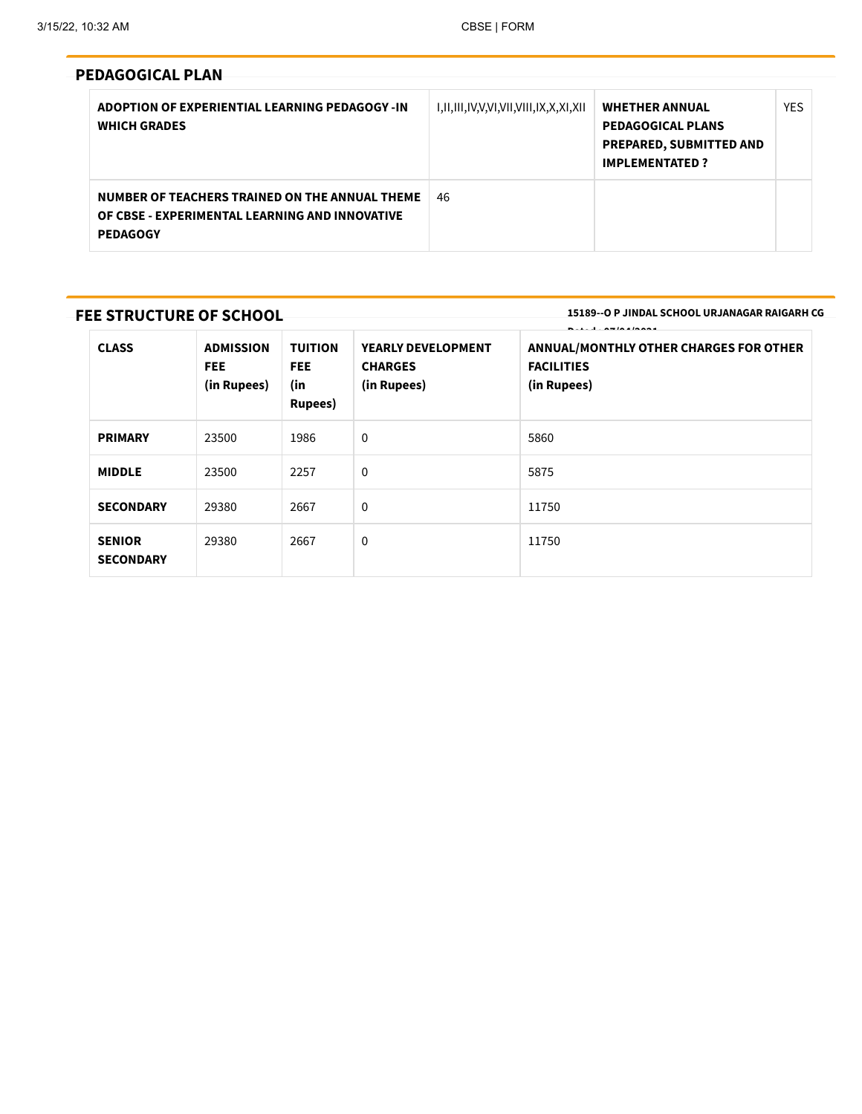15189--O P JINDAL SCHOOL URJANAGAR RAIGARH CG

| ADOPTION OF EXPERIENTIAL LEARNING PEDAGOGY -IN<br><b>WHICH GRADES</b>                                               | I,II,III,IV,V,VI,VII,VIII,IX,X,XI,XII | <b>WHETHER ANNUAL</b><br><b>PEDAGOGICAL PLANS</b><br><b>PREPARED, SUBMITTED AND</b><br><b>IMPLEMENTATED?</b> | <b>YES</b> |
|---------------------------------------------------------------------------------------------------------------------|---------------------------------------|--------------------------------------------------------------------------------------------------------------|------------|
| NUMBER OF TEACHERS TRAINED ON THE ANNUAL THEME<br>OF CBSE - EXPERIMENTAL LEARNING AND INNOVATIVE<br><b>PEDAGOGY</b> | 46                                    |                                                                                                              |            |

# FEE STRUCTURE OF SCHOOL

<u>bis 1974 - 1974 - 1975 - 1975 - 1975 - 1976 - 1976 - 1976 - 1976 - 1976 - 19</u> CLASS ADMISSION FEE (in Rupees) TUITION FEE (in Rupees) YEARLY DEVELOPMENT CHARGES (in Rupees) ANNUAL/MONTHLY OTHER CHARGES FOR OTHER FACILITIES (in Rupees) **PRIMARY** 23500 1986 0 5860 **MIDDLE** 23500 2257 0 5875 **SECONDARY** 29380 2667 0 11750 SENIOR **SECONDARY** 29380 2667 0 11750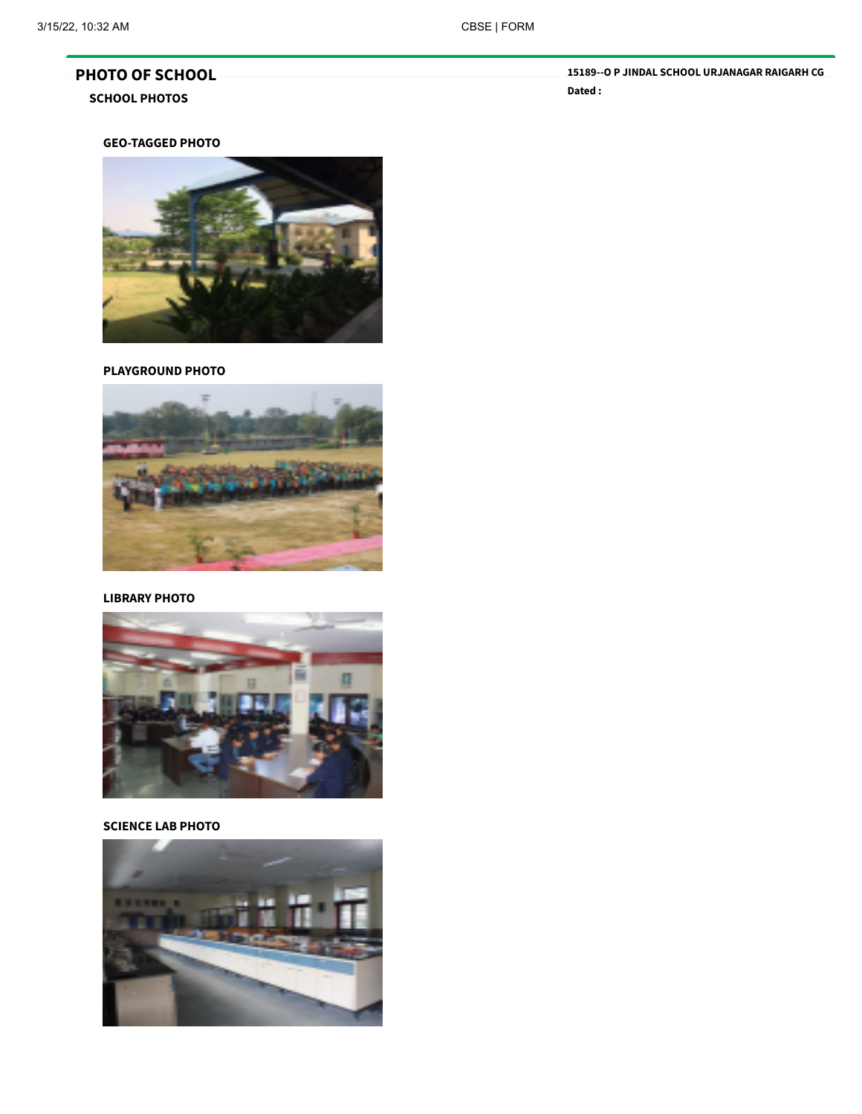# PHOTO OF SCHOOL SCHOOL PHOTOS

15189--O P JINDAL SCHOOL URJANAGAR RAIGARH CG Dated :

# GEO-TAGGED PHOTO



# PLAYGROUND PHOTO



# LIBRARY PHOTO



### SCIENCE LAB PHOTO

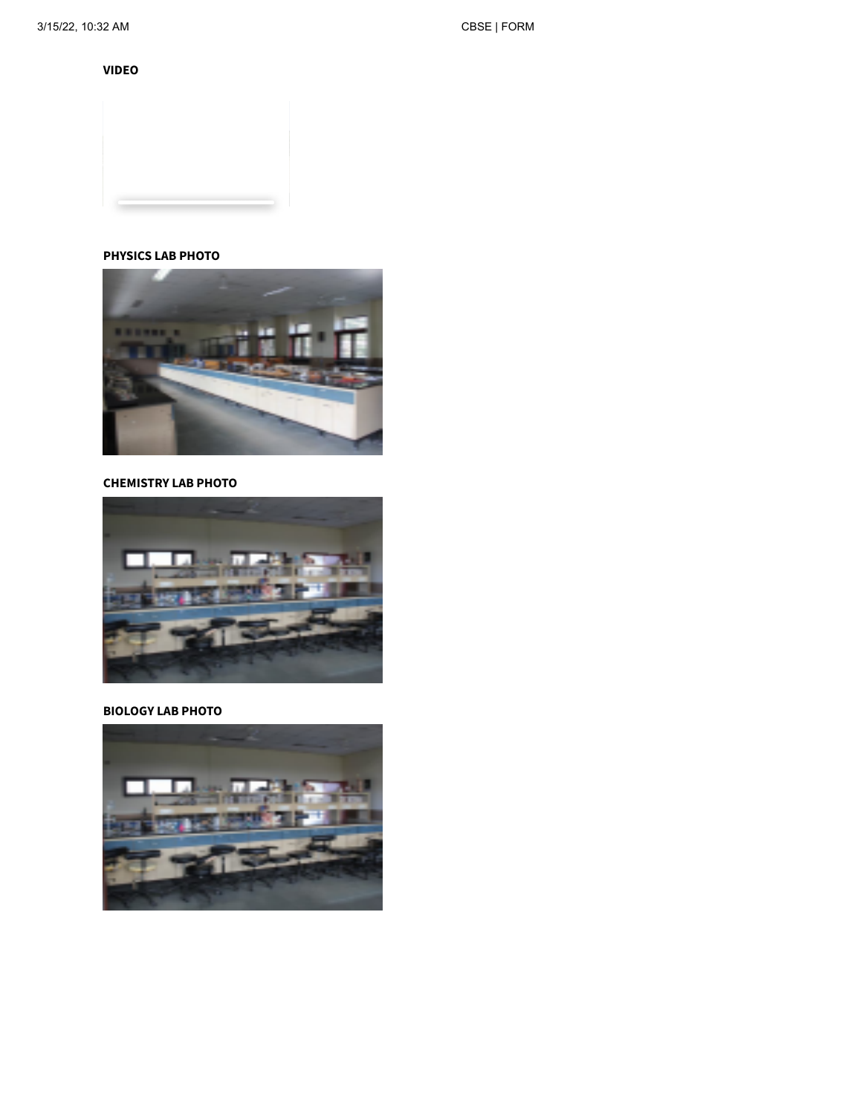VIDEO

PHYSICS LAB PHOTO



#### CHEMISTRY LAB PHOTO



# BIOLOGY LAB PHOTO

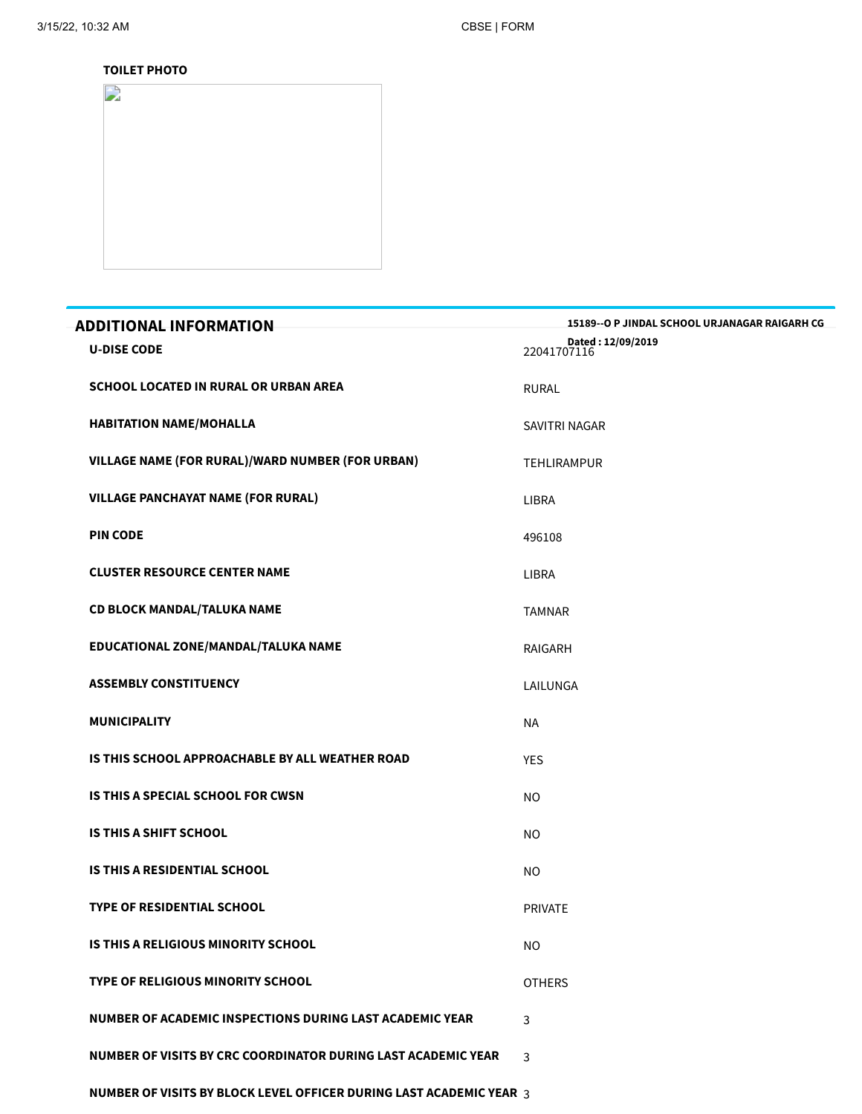# TOILET PHOTO



| <b>ADDITIONAL INFORMATION</b>                                       | 15189--O P JINDAL SCHOOL URJANAGAR RAIGARH CG |
|---------------------------------------------------------------------|-----------------------------------------------|
| <b>U-DISE CODE</b>                                                  | Dated: 12/09/2019<br>22041707116              |
| <b>SCHOOL LOCATED IN RURAL OR URBAN AREA</b>                        | <b>RURAL</b>                                  |
| <b>HABITATION NAME/MOHALLA</b>                                      | SAVITRI NAGAR                                 |
| VILLAGE NAME (FOR RURAL)/WARD NUMBER (FOR URBAN)                    | <b>TEHLIRAMPUR</b>                            |
| <b>VILLAGE PANCHAYAT NAME (FOR RURAL)</b>                           | <b>LIBRA</b>                                  |
| <b>PIN CODE</b>                                                     | 496108                                        |
| <b>CLUSTER RESOURCE CENTER NAME</b>                                 | <b>LIBRA</b>                                  |
| CD BLOCK MANDAL/TALUKA NAME                                         | <b>TAMNAR</b>                                 |
| EDUCATIONAL ZONE/MANDAL/TALUKA NAME                                 | RAIGARH                                       |
| <b>ASSEMBLY CONSTITUENCY</b>                                        | LAILUNGA                                      |
| <b>MUNICIPALITY</b>                                                 | <b>NA</b>                                     |
| IS THIS SCHOOL APPROACHABLE BY ALL WEATHER ROAD                     | <b>YES</b>                                    |
| IS THIS A SPECIAL SCHOOL FOR CWSN                                   | <b>NO</b>                                     |
| <b>IS THIS A SHIFT SCHOOL</b>                                       | <b>NO</b>                                     |
| IS THIS A RESIDENTIAL SCHOOL                                        | <b>NO</b>                                     |
| <b>TYPE OF RESIDENTIAL SCHOOL</b>                                   | <b>PRIVATE</b>                                |
| IS THIS A RELIGIOUS MINORITY SCHOOL                                 | <b>NO</b>                                     |
| <b>TYPE OF RELIGIOUS MINORITY SCHOOL</b>                            | <b>OTHERS</b>                                 |
| NUMBER OF ACADEMIC INSPECTIONS DURING LAST ACADEMIC YEAR            | 3                                             |
| NUMBER OF VISITS BY CRC COORDINATOR DURING LAST ACADEMIC YEAR       | 3                                             |
| NUMBER OF VISITS BY BLOCK LEVEL OFFICER DURING LAST ACADEMIC YEAR 3 |                                               |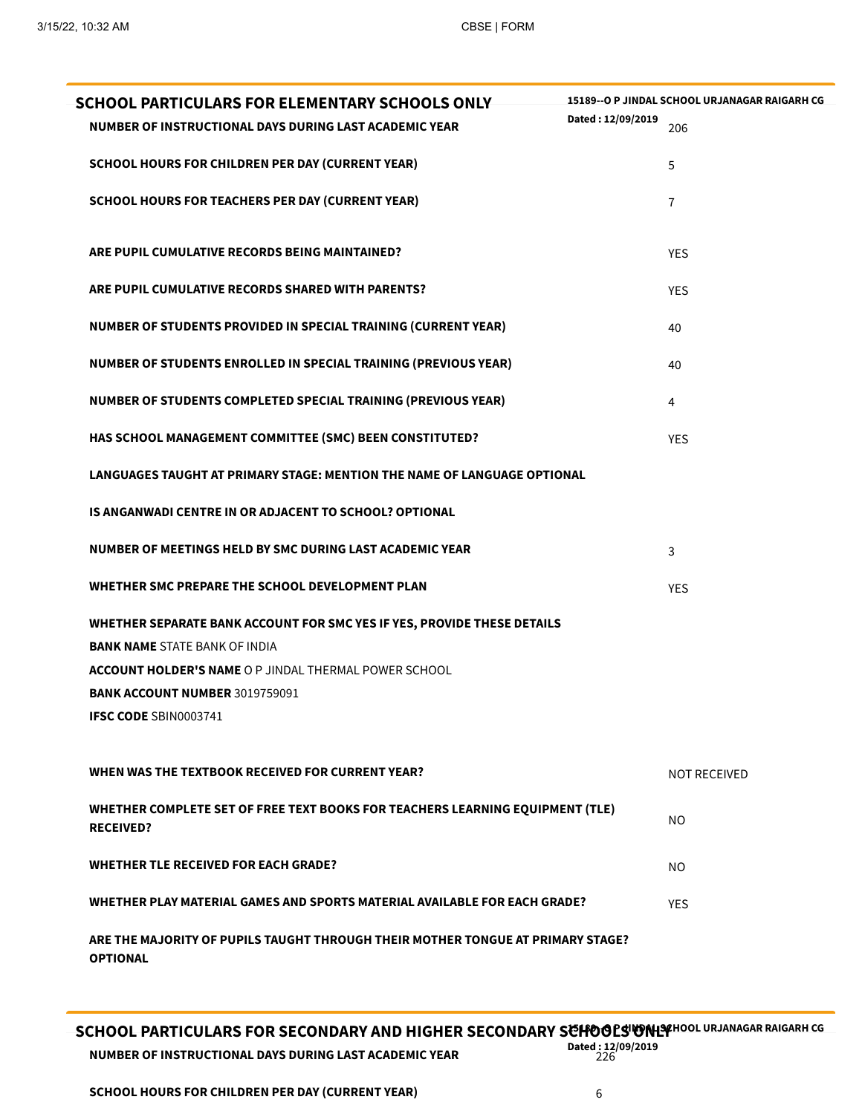| <b>SCHOOL PARTICULARS FOR ELEMENTARY SCHOOLS ONLY</b>                                              | 15189--O P JINDAL SCHOOL URJANAGAR RAIGARH CG |
|----------------------------------------------------------------------------------------------------|-----------------------------------------------|
| NUMBER OF INSTRUCTIONAL DAYS DURING LAST ACADEMIC YEAR                                             | Dated: 12/09/2019<br>206                      |
| <b>SCHOOL HOURS FOR CHILDREN PER DAY (CURRENT YEAR)</b>                                            | 5                                             |
| <b>SCHOOL HOURS FOR TEACHERS PER DAY (CURRENT YEAR)</b>                                            | $\overline{7}$                                |
|                                                                                                    |                                               |
| ARE PUPIL CUMULATIVE RECORDS BEING MAINTAINED?                                                     | <b>YES</b>                                    |
| ARE PUPIL CUMULATIVE RECORDS SHARED WITH PARENTS?                                                  | <b>YES</b>                                    |
| NUMBER OF STUDENTS PROVIDED IN SPECIAL TRAINING (CURRENT YEAR)                                     | 40                                            |
| NUMBER OF STUDENTS ENROLLED IN SPECIAL TRAINING (PREVIOUS YEAR)                                    | 40                                            |
| NUMBER OF STUDENTS COMPLETED SPECIAL TRAINING (PREVIOUS YEAR)                                      | 4                                             |
| HAS SCHOOL MANAGEMENT COMMITTEE (SMC) BEEN CONSTITUTED?                                            | <b>YES</b>                                    |
| LANGUAGES TAUGHT AT PRIMARY STAGE: MENTION THE NAME OF LANGUAGE OPTIONAL                           |                                               |
| <b>IS ANGANWADI CENTRE IN OR ADJACENT TO SCHOOL? OPTIONAL</b>                                      |                                               |
| NUMBER OF MEETINGS HELD BY SMC DURING LAST ACADEMIC YEAR                                           | 3                                             |
| WHETHER SMC PREPARE THE SCHOOL DEVELOPMENT PLAN                                                    | <b>YES</b>                                    |
| WHETHER SEPARATE BANK ACCOUNT FOR SMC YES IF YES, PROVIDE THESE DETAILS                            |                                               |
| <b>BANK NAME STATE BANK OF INDIA</b>                                                               |                                               |
| <b>ACCOUNT HOLDER'S NAME O P JINDAL THERMAL POWER SCHOOL</b>                                       |                                               |
| <b>BANK ACCOUNT NUMBER 3019759091</b>                                                              |                                               |
| IFSC CODE SBIN0003741                                                                              |                                               |
|                                                                                                    |                                               |
| WHEN WAS THE TEXTBOOK RECEIVED FOR CURRENT YEAR?                                                   | <b>NOT RECEIVED</b>                           |
| WHETHER COMPLETE SET OF FREE TEXT BOOKS FOR TEACHERS LEARNING EQUIPMENT (TLE)<br><b>RECEIVED?</b>  | NO.                                           |
| <b>WHETHER TLE RECEIVED FOR EACH GRADE?</b>                                                        | NO.                                           |
| WHETHER PLAY MATERIAL GAMES AND SPORTS MATERIAL AVAILABLE FOR EACH GRADE?                          | <b>YES</b>                                    |
| ARE THE MAJORITY OF PUPILS TAUGHT THROUGH THEIR MOTHER TONGUE AT PRIMARY STAGE?<br><b>OPTIONAL</b> |                                               |

SCHOOL PARTICULARS FOR SECONDARY AND HIGHER SECONDARY SCHOOLS ON LOPTHOOL URJANAGAR RAIGARH CG NUMBER OF INSTRUCTIONAL DAYS DURING LAST ACADEMIC YEAR Dated: 12/09/2019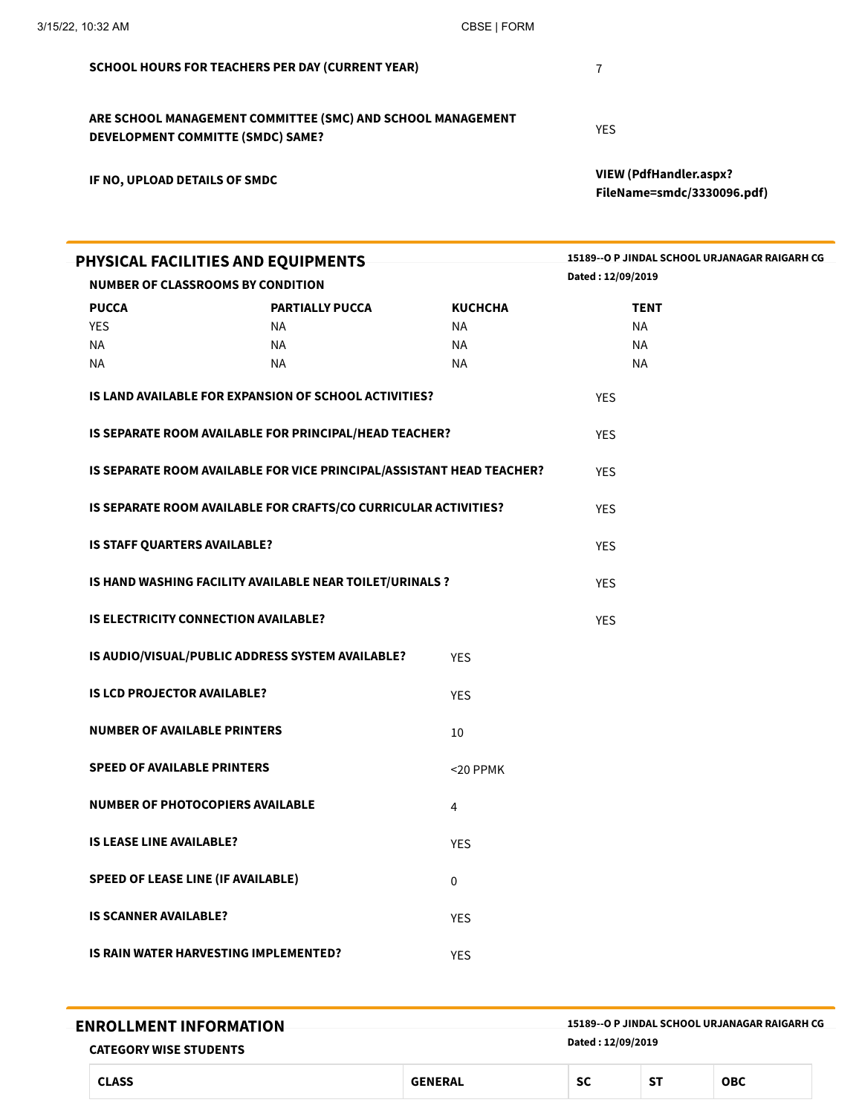| <b>PHYSICAL FACILITIES AND EQUIPMENTS</b>                                                        | 15189--O P JINDAL SCHOOL URJANAGAR RAIGARH CG        |
|--------------------------------------------------------------------------------------------------|------------------------------------------------------|
| IF NO, UPLOAD DETAILS OF SMDC                                                                    | VIEW (PdfHandler.aspx?<br>FileName=smdc/3330096.pdf) |
| ARE SCHOOL MANAGEMENT COMMITTEE (SMC) AND SCHOOL MANAGEMENT<br>DEVELOPMENT COMMITTE (SMDC) SAME? | <b>YES</b>                                           |
| <b>SCHOOL HOURS FOR TEACHERS PER DAY (CURRENT YEAR)</b>                                          |                                                      |

|                                           |                                                                       |                | Dated: 12/09/2019 |  |
|-------------------------------------------|-----------------------------------------------------------------------|----------------|-------------------|--|
|                                           | <b>NUMBER OF CLASSROOMS BY CONDITION</b>                              |                |                   |  |
| <b>PUCCA</b>                              | <b>PARTIALLY PUCCA</b>                                                | <b>KUCHCHA</b> | <b>TENT</b>       |  |
| <b>YES</b>                                | NA                                                                    | ΝA             | <b>NA</b>         |  |
| NA                                        | ΝA                                                                    | NA.            | <b>NA</b>         |  |
| <b>NA</b>                                 | <b>NA</b>                                                             | <b>NA</b>      | <b>NA</b>         |  |
|                                           | IS LAND AVAILABLE FOR EXPANSION OF SCHOOL ACTIVITIES?                 |                | <b>YES</b>        |  |
|                                           | IS SEPARATE ROOM AVAILABLE FOR PRINCIPAL/HEAD TEACHER?                |                | <b>YES</b>        |  |
|                                           | IS SEPARATE ROOM AVAILABLE FOR VICE PRINCIPAL/ASSISTANT HEAD TEACHER? |                | <b>YES</b>        |  |
|                                           | IS SEPARATE ROOM AVAILABLE FOR CRAFTS/CO CURRICULAR ACTIVITIES?       |                | <b>YES</b>        |  |
| IS STAFF QUARTERS AVAILABLE?              |                                                                       |                | <b>YES</b>        |  |
|                                           | IS HAND WASHING FACILITY AVAILABLE NEAR TOILET/URINALS ?              |                | <b>YES</b>        |  |
|                                           | IS ELECTRICITY CONNECTION AVAILABLE?                                  |                | <b>YES</b>        |  |
|                                           | IS AUDIO/VISUAL/PUBLIC ADDRESS SYSTEM AVAILABLE?                      | <b>YES</b>     |                   |  |
| <b>IS LCD PROJECTOR AVAILABLE?</b>        |                                                                       | <b>YES</b>     |                   |  |
| <b>NUMBER OF AVAILABLE PRINTERS</b>       |                                                                       | 10             |                   |  |
| <b>SPEED OF AVAILABLE PRINTERS</b>        |                                                                       | <20 PPMK       |                   |  |
| <b>NUMBER OF PHOTOCOPIERS AVAILABLE</b>   |                                                                       | $\overline{4}$ |                   |  |
| <b>IS LEASE LINE AVAILABLE?</b>           |                                                                       | <b>YES</b>     |                   |  |
| <b>SPEED OF LEASE LINE (IF AVAILABLE)</b> |                                                                       | 0              |                   |  |
| <b>IS SCANNER AVAILABLE?</b>              |                                                                       | <b>YES</b>     |                   |  |
|                                           | IS RAIN WATER HARVESTING IMPLEMENTED?                                 | <b>YES</b>     |                   |  |
|                                           |                                                                       |                |                   |  |

| <b>ENROLLMENT INFORMATION</b><br><b>CATEGORY WISE STUDENTS</b> |                | Dated: 12/09/2019 |           | 15189--O P JINDAL SCHOOL URJANAGAR RAIGARH CG |  |
|----------------------------------------------------------------|----------------|-------------------|-----------|-----------------------------------------------|--|
| <b>CLASS</b>                                                   | <b>GENERAL</b> | <b>SC</b>         | <b>ST</b> | <b>OBC</b>                                    |  |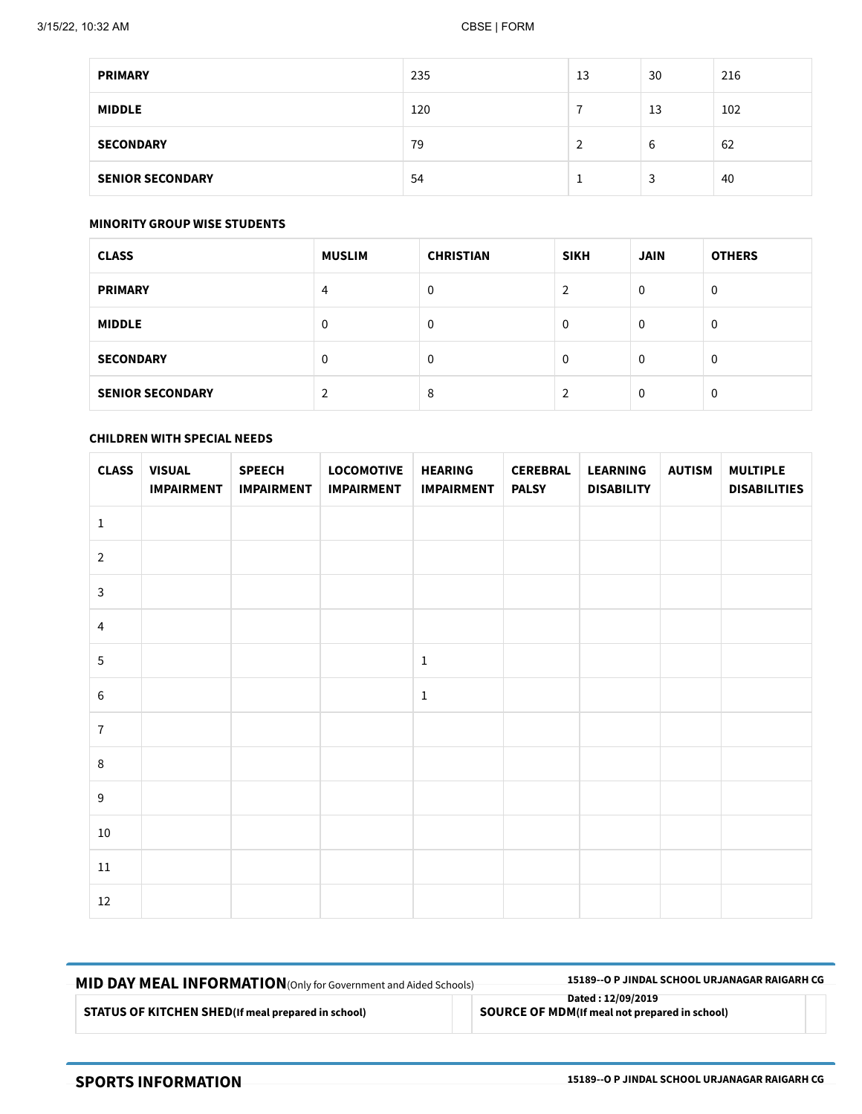| <b>PRIMARY</b>          | 235 | 13     | 30 | 216 |
|-------------------------|-----|--------|----|-----|
| <b>MIDDLE</b>           | 120 |        | 13 | 102 |
| <b>SECONDARY</b>        | 79  | ົ<br>∠ | 6  | 62  |
| <b>SENIOR SECONDARY</b> | 54  | J.     | 3  | 40  |

# MINORITY GROUP WISE STUDENTS

| <b>CLASS</b>            | <b>MUSLIM</b> | <b>CHRISTIAN</b> | <b>SIKH</b> | <b>JAIN</b> | <b>OTHERS</b> |
|-------------------------|---------------|------------------|-------------|-------------|---------------|
| <b>PRIMARY</b>          | 4             | 0                | 2           | 0           | 0             |
| <b>MIDDLE</b>           | $\mathbf 0$   | 0                | 0           | 0           | 0             |
| <b>SECONDARY</b>        | 0             | 0                | 0           | 0           | 0             |
| <b>SENIOR SECONDARY</b> | 2             | 8                | າ           | 0           | 0             |

### CHILDREN WITH SPECIAL NEEDS

| <b>CLASS</b>     | <b>VISUAL</b><br><b>IMPAIRMENT</b> | <b>SPEECH</b><br><b>IMPAIRMENT</b> | <b>LOCOMOTIVE</b><br><b>IMPAIRMENT</b> | <b>HEARING</b><br><b>IMPAIRMENT</b> | <b>CEREBRAL</b><br><b>PALSY</b> | <b>LEARNING</b><br><b>DISABILITY</b> | <b>AUTISM</b> | <b>MULTIPLE</b><br><b>DISABILITIES</b> |
|------------------|------------------------------------|------------------------------------|----------------------------------------|-------------------------------------|---------------------------------|--------------------------------------|---------------|----------------------------------------|
| $\mathbf{1}$     |                                    |                                    |                                        |                                     |                                 |                                      |               |                                        |
| $\overline{2}$   |                                    |                                    |                                        |                                     |                                 |                                      |               |                                        |
| $\mathbf{3}$     |                                    |                                    |                                        |                                     |                                 |                                      |               |                                        |
| $\overline{4}$   |                                    |                                    |                                        |                                     |                                 |                                      |               |                                        |
| $\sqrt{5}$       |                                    |                                    |                                        | $\,1\,$                             |                                 |                                      |               |                                        |
| 6                |                                    |                                    |                                        | $\,1\,$                             |                                 |                                      |               |                                        |
| $\bf 7$          |                                    |                                    |                                        |                                     |                                 |                                      |               |                                        |
| 8                |                                    |                                    |                                        |                                     |                                 |                                      |               |                                        |
| $\boldsymbol{9}$ |                                    |                                    |                                        |                                     |                                 |                                      |               |                                        |
| 10               |                                    |                                    |                                        |                                     |                                 |                                      |               |                                        |
| $11\,$           |                                    |                                    |                                        |                                     |                                 |                                      |               |                                        |
| 12               |                                    |                                    |                                        |                                     |                                 |                                      |               |                                        |

| -MID DAY MEAL INFORMATION (Only for Government and Aided Schools) | 15189--O P JINDAL SCHOOL URJANAGAR RAIGARH CG                               |
|-------------------------------------------------------------------|-----------------------------------------------------------------------------|
| <b>STATUS OF KITCHEN SHED</b> (If meal prepared in school)        | Dated : 12/09/2019<br><b>SOURCE OF MDM</b> (If meal not prepared in school) |